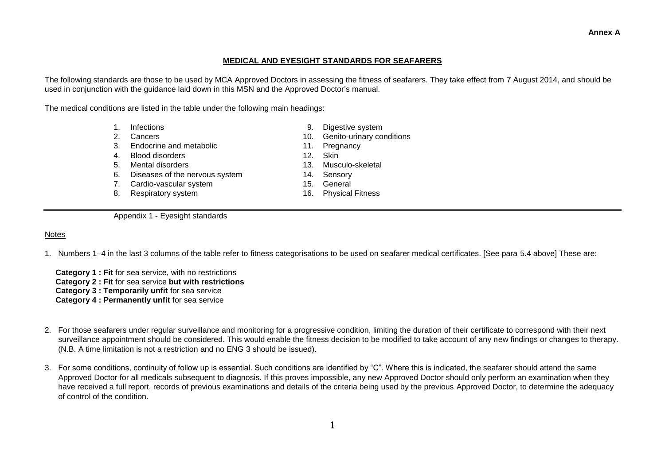## **MEDICAL AND EYESIGHT STANDARDS FOR SEAFARERS**

The following standards are those to be used by MCA Approved Doctors in assessing the fitness of seafarers. They take effect from 7 August 2014, and should be used in conjunction with the guidance laid down in this MSN and the Approved Doctor's manual.

The medical conditions are listed in the table under the following main headings:

- 
- 
- 3. Endocrine and metabolic 11. Pregnancy
- 4. Blood disorders 12. Skin
- 
- 6. Diseases of the nervous system 14. Sensory
- 7. Cardio-vascular system 15. General
- 8. Respiratory system 16. Physical Fitness
- 1. Infections 9. Digestive system
- 2. Cancers 10. Genito-urinary conditions
	-
	-
- 5. Mental disorders 13. Musculo-skeletal
	-
	-
	-

Appendix 1 - Eyesight standards

# Notes

1. Numbers 1–4 in the last 3 columns of the table refer to fitness categorisations to be used on seafarer medical certificates. [See para 5.4 above] These are:

 **Category 1 : Fit** for sea service, with no restrictions  **Category 2 : Fit** for sea service **but with restrictions Category 3 : Temporarily unfit** for sea service **Category 4 : Permanently unfit** for sea service

- 2. For those seafarers under regular surveillance and monitoring for a progressive condition, limiting the duration of their certificate to correspond with their next surveillance appointment should be considered. This would enable the fitness decision to be modified to take account of any new findings or changes to therapy. (N.B. A time limitation is not a restriction and no ENG 3 should be issued).
- 3. For some conditions, continuity of follow up is essential. Such conditions are identified by "C". Where this is indicated, the seafarer should attend the same Approved Doctor for all medicals subsequent to diagnosis. If this proves impossible, any new Approved Doctor should only perform an examination when they have received a full report, records of previous examinations and details of the criteria being used by the previous Approved Doctor, to determine the adequacy of control of the condition.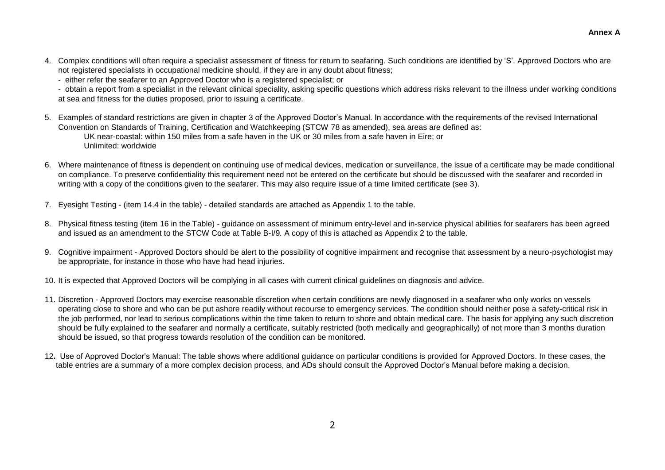- 4. Complex conditions will often require a specialist assessment of fitness for return to seafaring. Such conditions are identified by 'S'. Approved Doctors who are not registered specialists in occupational medicine should, if they are in any doubt about fitness;
	- either refer the seafarer to an Approved Doctor who is a registered specialist; or

- obtain a report from a specialist in the relevant clinical speciality, asking specific questions which address risks relevant to the illness under working conditions at sea and fitness for the duties proposed, prior to issuing a certificate.

- 5. Examples of standard restrictions are given in chapter 3 of the Approved Doctor's Manual. In accordance with the requirements of the revised International Convention on Standards of Training, Certification and Watchkeeping (STCW 78 as amended), sea areas are defined as: UK near-coastal: within 150 miles from a safe haven in the UK or 30 miles from a safe haven in Eire; or Unlimited: worldwide
- 6. Where maintenance of fitness is dependent on continuing use of medical devices, medication or surveillance, the issue of a certificate may be made conditional on compliance. To preserve confidentiality this requirement need not be entered on the certificate but should be discussed with the seafarer and recorded in writing with a copy of the conditions given to the seafarer. This may also require issue of a time limited certificate (see 3).
- 7. Eyesight Testing (item 14.4 in the table) detailed standards are attached as Appendix 1 to the table.
- 8. Physical fitness testing (item 16 in the Table) guidance on assessment of minimum entry-level and in-service physical abilities for seafarers has been agreed and issued as an amendment to the STCW Code at Table B-I/9*.* A copy of this is attached as Appendix 2 to the table.
- 9. Cognitive impairment Approved Doctors should be alert to the possibility of cognitive impairment and recognise that assessment by a neuro-psychologist may be appropriate, for instance in those who have had head injuries.
- 10. It is expected that Approved Doctors will be complying in all cases with current clinical guidelines on diagnosis and advice.
- 11. Discretion Approved Doctors may exercise reasonable discretion when certain conditions are newly diagnosed in a seafarer who only works on vessels operating close to shore and who can be put ashore readily without recourse to emergency services. The condition should neither pose a safety-critical risk in the job performed, nor lead to serious complications within the time taken to return to shore and obtain medical care. The basis for applying any such discretion should be fully explained to the seafarer and normally a certificate, suitably restricted (both medically and geographically) of not more than 3 months duration should be issued, so that progress towards resolution of the condition can be monitored.
- 12**.** Use of Approved Doctor's Manual: The table shows where additional guidance on particular conditions is provided for Approved Doctors. In these cases, the table entries are a summary of a more complex decision process, and ADs should consult the Approved Doctor's Manual before making a decision.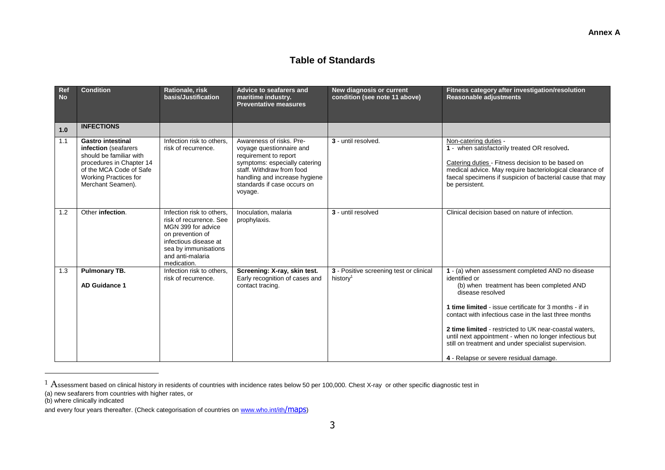# **Table of Standards**

| Ref<br><b>No</b> | <b>Condition</b>                                                                                                                                                                        | Rationale, risk<br>basis/Justification                                                                                                                                             | <b>Advice to seafarers and</b><br>maritime industry.<br><b>Preventative measures</b>                                                                                                                                   | New diagnosis or current<br>condition (see note 11 above)       | Fitness category after investigation/resolution<br><b>Reasonable adjustments</b>                                                                                                                                                                                                                                                                                                                                                                                             |
|------------------|-----------------------------------------------------------------------------------------------------------------------------------------------------------------------------------------|------------------------------------------------------------------------------------------------------------------------------------------------------------------------------------|------------------------------------------------------------------------------------------------------------------------------------------------------------------------------------------------------------------------|-----------------------------------------------------------------|------------------------------------------------------------------------------------------------------------------------------------------------------------------------------------------------------------------------------------------------------------------------------------------------------------------------------------------------------------------------------------------------------------------------------------------------------------------------------|
| 1.0              | <b>INFECTIONS</b>                                                                                                                                                                       |                                                                                                                                                                                    |                                                                                                                                                                                                                        |                                                                 |                                                                                                                                                                                                                                                                                                                                                                                                                                                                              |
| 1.1              | <b>Gastro intestinal</b><br>infection (seafarers<br>should be familiar with<br>procedures in Chapter 14<br>of the MCA Code of Safe<br><b>Working Practices for</b><br>Merchant Seamen). | Infection risk to others.<br>risk of recurrence.                                                                                                                                   | Awareness of risks. Pre-<br>voyage questionnaire and<br>requirement to report<br>symptoms: especially catering<br>staff. Withdraw from food<br>handling and increase hygiene<br>standards if case occurs on<br>voyage. | 3 - until resolved.                                             | Non-catering duties -<br>1 - when satisfactorily treated OR resolved.<br>Catering duties - Fitness decision to be based on<br>medical advice. May require bacteriological clearance of<br>faecal specimens if suspicion of bacterial cause that may<br>be persistent.                                                                                                                                                                                                        |
| 1.2              | Other infection.                                                                                                                                                                        | Infection risk to others.<br>risk of recurrence. See<br>MGN 399 for advice<br>on prevention of<br>infectious disease at<br>sea by immunisations<br>and anti-malaria<br>medication. | Inoculation, malaria<br>prophylaxis.                                                                                                                                                                                   | 3 - until resolved                                              | Clinical decision based on nature of infection.                                                                                                                                                                                                                                                                                                                                                                                                                              |
| 1.3              | <b>Pulmonary TB.</b><br><b>AD Guidance 1</b>                                                                                                                                            | Infection risk to others.<br>risk of recurrence.                                                                                                                                   | Screening: X-ray, skin test.<br>Early recognition of cases and<br>contact tracing.                                                                                                                                     | 3 - Positive screening test or clinical<br>history <sup>1</sup> | 1 - (a) when assessment completed AND no disease<br>identified or<br>(b) when treatment has been completed AND<br>disease resolved<br>1 time limited - issue certificate for 3 months - if in<br>contact with infectious case in the last three months<br>2 time limited - restricted to UK near-coastal waters.<br>until next appointment - when no longer infectious but<br>still on treatment and under specialist supervision.<br>4 - Relapse or severe residual damage. |

 $1$   $\rm A$ ssessment based on clinical history in residents of countries with incidence rates below 50 per 100,000. Chest X-ray or other specific diagnostic test in

 $\overline{a}$ 

<sup>(</sup>a) new seafarers from countries with higher rates, or

<sup>(</sup>b) where clinically indicated

and every four years thereafter. (Check categorisation of countries on [www.who.int/ith](http://www.who.int/ith)/maps)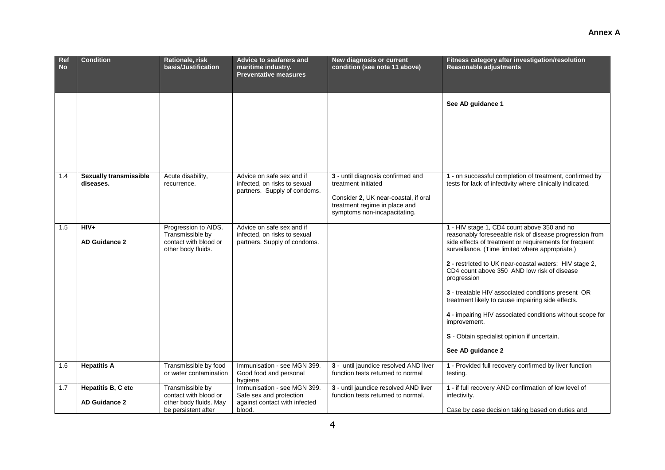| Ref<br><b>No</b> | <b>Condition</b>                           | Rationale, risk<br>basis/Justification                                                     | Advice to seafarers and<br>maritime industry.<br><b>Preventative measures</b>                     | New diagnosis or current<br>condition (see note 11 above)                                                                                                         | Fitness category after investigation/resolution<br><b>Reasonable adjustments</b>                                                                                                                                                                                                                                                                                                                                                                                                                                                                                                                        |
|------------------|--------------------------------------------|--------------------------------------------------------------------------------------------|---------------------------------------------------------------------------------------------------|-------------------------------------------------------------------------------------------------------------------------------------------------------------------|---------------------------------------------------------------------------------------------------------------------------------------------------------------------------------------------------------------------------------------------------------------------------------------------------------------------------------------------------------------------------------------------------------------------------------------------------------------------------------------------------------------------------------------------------------------------------------------------------------|
|                  |                                            |                                                                                            |                                                                                                   |                                                                                                                                                                   | See AD guidance 1                                                                                                                                                                                                                                                                                                                                                                                                                                                                                                                                                                                       |
| 1.4              | <b>Sexually transmissible</b><br>diseases. | Acute disability,<br>recurrence.                                                           | Advice on safe sex and if<br>infected, on risks to sexual<br>partners. Supply of condoms.         | 3 - until diagnosis confirmed and<br>treatment initiated<br>Consider 2, UK near-coastal, if oral<br>treatment regime in place and<br>symptoms non-incapacitating. | 1 - on successful completion of treatment, confirmed by<br>tests for lack of infectivity where clinically indicated.                                                                                                                                                                                                                                                                                                                                                                                                                                                                                    |
| 1.5              | $HIV+$<br><b>AD Guidance 2</b>             | Progression to AIDS.<br>Transmissible by<br>contact with blood or<br>other body fluids.    | Advice on safe sex and if<br>infected, on risks to sexual<br>partners. Supply of condoms.         |                                                                                                                                                                   | 1 - HIV stage 1, CD4 count above 350 and no<br>reasonably foreseeable risk of disease progression from<br>side effects of treatment or requirements for frequent<br>surveillance. (Time limited where appropriate.)<br>2 - restricted to UK near-coastal waters: HIV stage 2,<br>CD4 count above 350 AND low risk of disease<br>progression<br>3 - treatable HIV associated conditions present OR<br>treatment likely to cause impairing side effects.<br>4 - impairing HIV associated conditions without scope for<br>improvement.<br>S - Obtain specialist opinion if uncertain.<br>See AD guidance 2 |
| 1.6              | <b>Hepatitis A</b>                         | Transmissible by food<br>or water contamination                                            | Immunisation - see MGN 399.<br>Good food and personal<br>hygiene                                  | 3 - until jaundice resolved AND liver<br>function tests returned to normal                                                                                        | 1 - Provided full recovery confirmed by liver function<br>testing.                                                                                                                                                                                                                                                                                                                                                                                                                                                                                                                                      |
| 1.7              | Hepatitis B, C etc<br><b>AD Guidance 2</b> | Transmissible by<br>contact with blood or<br>other body fluids. May<br>be persistent after | Immunisation - see MGN 399.<br>Safe sex and protection<br>against contact with infected<br>blood. | 3 - until jaundice resolved AND liver<br>function tests returned to normal.                                                                                       | 1 - if full recovery AND confirmation of low level of<br>infectivity.<br>Case by case decision taking based on duties and                                                                                                                                                                                                                                                                                                                                                                                                                                                                               |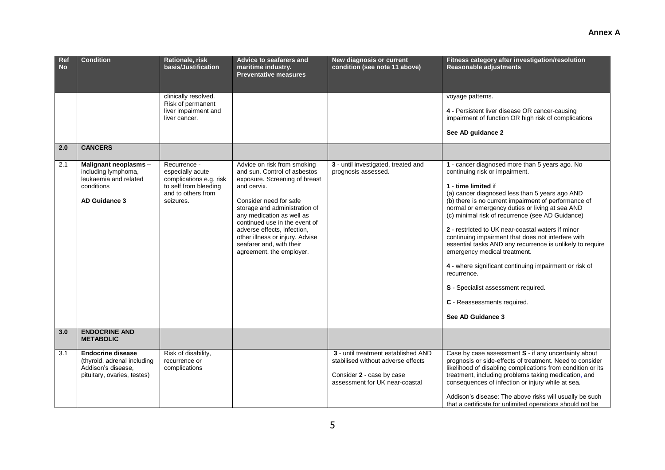| Ref<br><b>No</b> | <b>Condition</b>                                                                                             | Rationale, risk<br>basis/Justification                                                                                  | <b>Advice to seafarers and</b><br>maritime industry.<br><b>Preventative measures</b>                                                                                                                                                                                                                                                                           | New diagnosis or current<br>condition (see note 11 above)                                                                                | Fitness category after investigation/resolution<br>Reasonable adjustments                                                                                                                                                                                                                                                                                                                                                                                                                                                                                                                                                                                                                            |
|------------------|--------------------------------------------------------------------------------------------------------------|-------------------------------------------------------------------------------------------------------------------------|----------------------------------------------------------------------------------------------------------------------------------------------------------------------------------------------------------------------------------------------------------------------------------------------------------------------------------------------------------------|------------------------------------------------------------------------------------------------------------------------------------------|------------------------------------------------------------------------------------------------------------------------------------------------------------------------------------------------------------------------------------------------------------------------------------------------------------------------------------------------------------------------------------------------------------------------------------------------------------------------------------------------------------------------------------------------------------------------------------------------------------------------------------------------------------------------------------------------------|
|                  |                                                                                                              | clinically resolved.<br>Risk of permanent<br>liver impairment and<br>liver cancer.                                      |                                                                                                                                                                                                                                                                                                                                                                |                                                                                                                                          | voyage patterns.<br>4 - Persistent liver disease OR cancer-causing<br>impairment of function OR high risk of complications<br>See AD guidance 2                                                                                                                                                                                                                                                                                                                                                                                                                                                                                                                                                      |
| 2.0              | <b>CANCERS</b>                                                                                               |                                                                                                                         |                                                                                                                                                                                                                                                                                                                                                                |                                                                                                                                          |                                                                                                                                                                                                                                                                                                                                                                                                                                                                                                                                                                                                                                                                                                      |
| 2.1              | Malignant neoplasms -<br>including lymphoma,<br>leukaemia and related<br>conditions<br>AD Guidance 3         | Recurrence -<br>especially acute<br>complications e.g. risk<br>to self from bleeding<br>and to others from<br>seizures. | Advice on risk from smoking<br>and sun. Control of asbestos<br>exposure. Screening of breast<br>and cervix.<br>Consider need for safe<br>storage and administration of<br>any medication as well as<br>continued use in the event of<br>adverse effects, infection,<br>other illness or injury. Advise<br>seafarer and, with their<br>agreement, the employer. | 3 - until investigated, treated and<br>prognosis assessed.                                                                               | 1 - cancer diagnosed more than 5 years ago. No<br>continuing risk or impairment.<br>1 - time limited if<br>(a) cancer diagnosed less than 5 years ago AND<br>(b) there is no current impairment of performance of<br>normal or emergency duties or living at sea AND<br>(c) minimal risk of recurrence (see AD Guidance)<br>2 - restricted to UK near-coastal waters if minor<br>continuing impairment that does not interfere with<br>essential tasks AND any recurrence is unlikely to require<br>emergency medical treatment.<br>4 - where significant continuing impairment or risk of<br>recurrence.<br>S - Specialist assessment required.<br>C - Reassessments required.<br>See AD Guidance 3 |
| 3.0              | <b>ENDOCRINE AND</b><br><b>METABOLIC</b>                                                                     |                                                                                                                         |                                                                                                                                                                                                                                                                                                                                                                |                                                                                                                                          |                                                                                                                                                                                                                                                                                                                                                                                                                                                                                                                                                                                                                                                                                                      |
| 3.1              | <b>Endocrine disease</b><br>(thyroid, adrenal including<br>Addison's disease.<br>pituitary, ovaries, testes) | Risk of disability,<br>recurrence or<br>complications                                                                   |                                                                                                                                                                                                                                                                                                                                                                | 3 - until treatment established AND<br>stabilised without adverse effects<br>Consider 2 - case by case<br>assessment for UK near-coastal | Case by case assessment S - if any uncertainty about<br>prognosis or side-effects of treatment. Need to consider<br>likelihood of disabling complications from condition or its<br>treatment, including problems taking medication, and<br>consequences of infection or injury while at sea.<br>Addison's disease: The above risks will usually be such<br>that a certificate for unlimited operations should not be                                                                                                                                                                                                                                                                                 |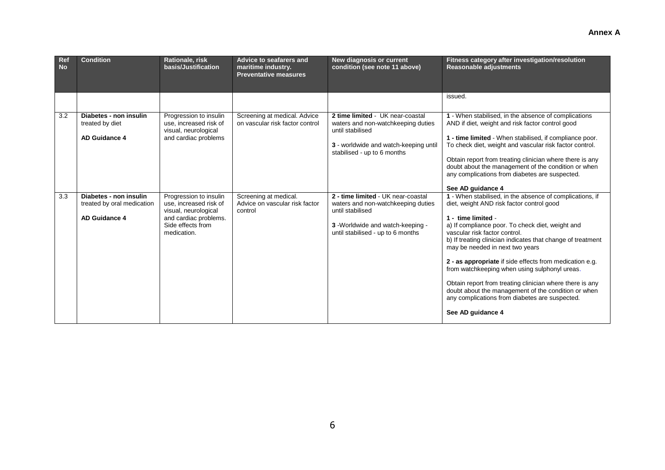| Ref<br><b>No</b> | <b>Condition</b>                                                             | Rationale, risk<br>basis/Justification                                                                                                | <b>Advice to seafarers and</b><br>maritime industry.<br><b>Preventative measures</b> | <b>New diagnosis or current</b><br>condition (see note 11 above)                                                                                                      | Fitness category after investigation/resolution<br><b>Reasonable adjustments</b>                                                                                                                                                                                                                                                                                                                                                                                                                                                                                                                                         |
|------------------|------------------------------------------------------------------------------|---------------------------------------------------------------------------------------------------------------------------------------|--------------------------------------------------------------------------------------|-----------------------------------------------------------------------------------------------------------------------------------------------------------------------|--------------------------------------------------------------------------------------------------------------------------------------------------------------------------------------------------------------------------------------------------------------------------------------------------------------------------------------------------------------------------------------------------------------------------------------------------------------------------------------------------------------------------------------------------------------------------------------------------------------------------|
|                  |                                                                              |                                                                                                                                       |                                                                                      |                                                                                                                                                                       | issued.                                                                                                                                                                                                                                                                                                                                                                                                                                                                                                                                                                                                                  |
| 3.2              | Diabetes - non insulin<br>treated by diet<br><b>AD Guidance 4</b>            | Progression to insulin<br>use, increased risk of<br>visual, neurological<br>and cardiac problems                                      | Screening at medical. Advice<br>on vascular risk factor control                      | 2 time limited - UK near-coastal<br>waters and non-watchkeeping duties<br>until stabilised<br>3 - worldwide and watch-keeping until<br>stabilised - up to 6 months    | 1 - When stabilised, in the absence of complications<br>AND if diet, weight and risk factor control good<br>1 - time limited - When stabilised, if compliance poor.<br>To check diet, weight and vascular risk factor control.<br>Obtain report from treating clinician where there is any<br>doubt about the management of the condition or when<br>any complications from diabetes are suspected.<br>See AD guidance 4                                                                                                                                                                                                 |
| 3.3              | Diabetes - non insulin<br>treated by oral medication<br><b>AD Guidance 4</b> | Progression to insulin<br>use, increased risk of<br>visual, neurological<br>and cardiac problems.<br>Side effects from<br>medication. | Screening at medical.<br>Advice on vascular risk factor<br>control                   | 2 - time limited - UK near-coastal<br>waters and non-watchkeeping duties<br>until stabilised<br>3 -Worldwide and watch-keeping -<br>until stabilised - up to 6 months | 1 - When stabilised, in the absence of complications, if<br>diet, weight AND risk factor control good<br>1 - time limited -<br>a) If compliance poor. To check diet, weight and<br>vascular risk factor control.<br>b) If treating clinician indicates that change of treatment<br>may be needed in next two years<br>2 - as appropriate if side effects from medication e.g.<br>from watchkeeping when using sulphonyl ureas.<br>Obtain report from treating clinician where there is any<br>doubt about the management of the condition or when<br>any complications from diabetes are suspected.<br>See AD guidance 4 |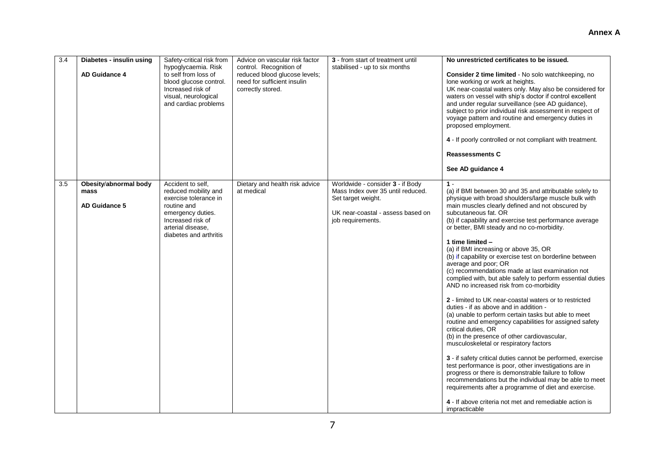# **Annex A**

| 3.4 | Diabetes - insulin using<br><b>AD Guidance 4</b>      | Safety-critical risk from<br>hypoglycaemia. Risk<br>to self from loss of<br>blood glucose control.<br>Increased risk of<br>visual, neurological<br>and cardiac problems    | Advice on vascular risk factor<br>control. Recognition of<br>reduced blood glucose levels;<br>need for sufficient insulin<br>correctly stored. | 3 - from start of treatment until<br>stabilised - up to six months                                                                                    | No unrestricted certificates to be issued.<br>Consider 2 time limited - No solo watchkeeping, no<br>lone working or work at heights.<br>UK near-coastal waters only. May also be considered for<br>waters on vessel with ship's doctor if control excellent<br>and under regular surveillance (see AD guidance),<br>subject to prior individual risk assessment in respect of<br>voyage pattern and routine and emergency duties in<br>proposed employment.<br>4 - If poorly controlled or not compliant with treatment.<br><b>Reassessments C</b><br>See AD guidance 4                                                                                                                                                                                                                                                                                                                                                                                                                                                                                                                                                                                                                                                                                                                                                                        |
|-----|-------------------------------------------------------|----------------------------------------------------------------------------------------------------------------------------------------------------------------------------|------------------------------------------------------------------------------------------------------------------------------------------------|-------------------------------------------------------------------------------------------------------------------------------------------------------|------------------------------------------------------------------------------------------------------------------------------------------------------------------------------------------------------------------------------------------------------------------------------------------------------------------------------------------------------------------------------------------------------------------------------------------------------------------------------------------------------------------------------------------------------------------------------------------------------------------------------------------------------------------------------------------------------------------------------------------------------------------------------------------------------------------------------------------------------------------------------------------------------------------------------------------------------------------------------------------------------------------------------------------------------------------------------------------------------------------------------------------------------------------------------------------------------------------------------------------------------------------------------------------------------------------------------------------------|
| 3.5 | Obesity/abnormal body<br>mass<br><b>AD Guidance 5</b> | Accident to self.<br>reduced mobility and<br>exercise tolerance in<br>routine and<br>emergency duties.<br>Increased risk of<br>arterial disease,<br>diabetes and arthritis | Dietary and health risk advice<br>at medical                                                                                                   | Worldwide - consider 3 - if Body<br>Mass Index over 35 until reduced.<br>Set target weight.<br>UK near-coastal - assess based on<br>job requirements. | $1 -$<br>(a) if BMI between 30 and 35 and attributable solely to<br>physique with broad shoulders/large muscle bulk with<br>main muscles clearly defined and not obscured by<br>subcutaneous fat. OR<br>(b) if capability and exercise test performance average<br>or better, BMI steady and no co-morbidity.<br>1 time limited -<br>(a) if BMI increasing or above 35, OR<br>(b) if capability or exercise test on borderline between<br>average and poor; OR<br>(c) recommendations made at last examination not<br>complied with, but able safely to perform essential duties<br>AND no increased risk from co-morbidity<br>2 - limited to UK near-coastal waters or to restricted<br>duties - if as above and in addition -<br>(a) unable to perform certain tasks but able to meet<br>routine and emergency capabilities for assigned safety<br>critical duties, OR<br>(b) in the presence of other cardiovascular,<br>musculoskeletal or respiratory factors<br>3 - if safety critical duties cannot be performed, exercise<br>test performance is poor, other investigations are in<br>progress or there is demonstrable failure to follow<br>recommendations but the individual may be able to meet<br>requirements after a programme of diet and exercise.<br>4 - If above criteria not met and remediable action is<br>impracticable |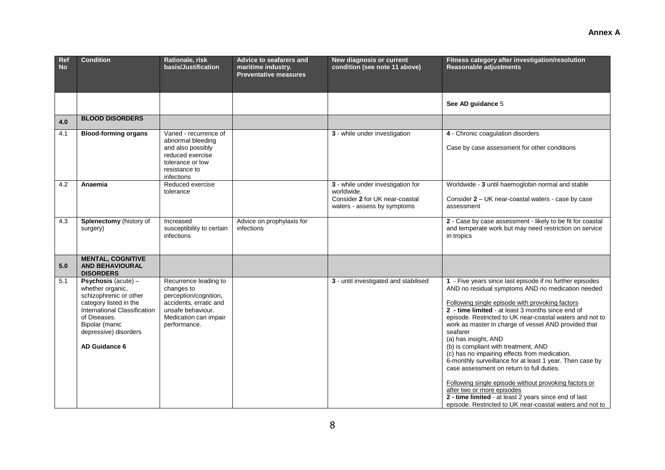| Ref<br><b>No</b> | <b>Condition</b>                                                                                                                                                                                                 | Rationale, risk<br>basis/Justification                                                                                                               | Advice to seafarers and<br>maritime industry.<br><b>Preventative measures</b> | New diagnosis or current<br>condition (see note 11 above)                                                        | Fitness category after investigation/resolution<br><b>Reasonable adjustments</b>                                                                                                                                                                                                                                                                                                                                                                                                                                                                                                                                                                                                                                                                                                            |
|------------------|------------------------------------------------------------------------------------------------------------------------------------------------------------------------------------------------------------------|------------------------------------------------------------------------------------------------------------------------------------------------------|-------------------------------------------------------------------------------|------------------------------------------------------------------------------------------------------------------|---------------------------------------------------------------------------------------------------------------------------------------------------------------------------------------------------------------------------------------------------------------------------------------------------------------------------------------------------------------------------------------------------------------------------------------------------------------------------------------------------------------------------------------------------------------------------------------------------------------------------------------------------------------------------------------------------------------------------------------------------------------------------------------------|
|                  |                                                                                                                                                                                                                  |                                                                                                                                                      |                                                                               |                                                                                                                  | See AD guidance 5                                                                                                                                                                                                                                                                                                                                                                                                                                                                                                                                                                                                                                                                                                                                                                           |
| 4.0              | <b>BLOOD DISORDERS</b>                                                                                                                                                                                           |                                                                                                                                                      |                                                                               |                                                                                                                  |                                                                                                                                                                                                                                                                                                                                                                                                                                                                                                                                                                                                                                                                                                                                                                                             |
| 4.1              | <b>Blood-forming organs</b>                                                                                                                                                                                      | Varied - recurrence of<br>abnormal bleeding<br>and also possibly<br>reduced exercise<br>tolerance or low<br>resistance to<br>infections              |                                                                               | 3 - while under investigation                                                                                    | 4 - Chronic coagulation disorders<br>Case by case assessment for other conditions                                                                                                                                                                                                                                                                                                                                                                                                                                                                                                                                                                                                                                                                                                           |
| 4.2              | Anaemia                                                                                                                                                                                                          | Reduced exercise<br>tolerance                                                                                                                        |                                                                               | 3 - while under investigation for<br>worldwide.<br>Consider 2 for UK near-coastal<br>waters - assess by symptoms | Worldwide - 3 until haemoglobin normal and stable<br>Consider 2 - UK near-coastal waters - case by case<br>assessment                                                                                                                                                                                                                                                                                                                                                                                                                                                                                                                                                                                                                                                                       |
| 4.3              | Splenectomy (history of<br>surgery)                                                                                                                                                                              | Increased<br>susceptibility to certain<br>infections                                                                                                 | Advice on prophylaxis for<br>infections                                       |                                                                                                                  | 2 - Case by case assessment - likely to be fit for coastal<br>and temperate work but may need restriction on service<br>in tropics                                                                                                                                                                                                                                                                                                                                                                                                                                                                                                                                                                                                                                                          |
| 5.0              | <b>MENTAL, COGNITIVE</b><br><b>AND BEHAVIOURAL</b><br><b>DISORDERS</b>                                                                                                                                           |                                                                                                                                                      |                                                                               |                                                                                                                  |                                                                                                                                                                                                                                                                                                                                                                                                                                                                                                                                                                                                                                                                                                                                                                                             |
| 5.1              | <b>Psychosis</b> (acute) $-$<br>whether organic,<br>schizophrenic or other<br>category listed in the<br>International Classification<br>of Diseases.<br>Bipolar (manic<br>depressive) disorders<br>AD Guidance 6 | Recurrence leading to<br>changes to<br>perception/cognition,<br>accidents, erratic and<br>unsafe behaviour.<br>Medication can impair<br>performance. |                                                                               | 3 - until investigated and stabilised                                                                            | 1 - Five years since last episode if no further episodes<br>AND no residual symptoms AND no medication needed<br>Following single episode with provoking factors<br>2 - time limited - at least 3 months since end of<br>episode. Restricted to UK near-coastal waters and not to<br>work as master in charge of vessel AND provided that<br>seafarer<br>(a) has insight, AND<br>(b) is compliant with treatment, AND<br>(c) has no impairing effects from medication.<br>6-monthly surveillance for at least 1 year. Then case by<br>case assessment on return to full duties.<br>Following single episode without provoking factors or<br>after two or more episodes<br>2 - time limited - at least 2 years since end of last<br>episode. Restricted to UK near-coastal waters and not to |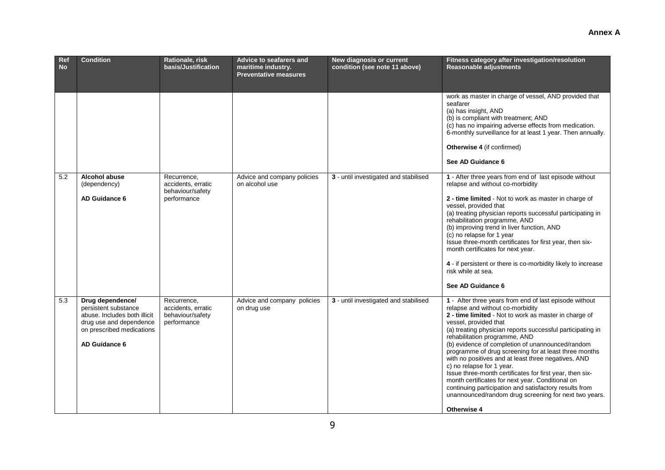| Ref<br><b>No</b> | <b>Condition</b>                                                                                                                                  | Rationale, risk<br>basis/Justification                               | Advice to seafarers and<br>maritime industry.<br><b>Preventative measures</b> | <b>New diagnosis or current</b><br>condition (see note 11 above) | Fitness category after investigation/resolution<br>Reasonable adjustments                                                                                                                                                                                                                                                                                                                                                                                                                                                                                                                                                                                                                                                             |
|------------------|---------------------------------------------------------------------------------------------------------------------------------------------------|----------------------------------------------------------------------|-------------------------------------------------------------------------------|------------------------------------------------------------------|---------------------------------------------------------------------------------------------------------------------------------------------------------------------------------------------------------------------------------------------------------------------------------------------------------------------------------------------------------------------------------------------------------------------------------------------------------------------------------------------------------------------------------------------------------------------------------------------------------------------------------------------------------------------------------------------------------------------------------------|
|                  |                                                                                                                                                   |                                                                      |                                                                               |                                                                  | work as master in charge of vessel, AND provided that<br>seafarer<br>(a) has insight, AND<br>(b) is compliant with treatment; AND<br>(c) has no impairing adverse effects from medication.<br>6-monthly surveillance for at least 1 year. Then annually.<br><b>Otherwise 4</b> (if confirmed)<br>See AD Guidance 6                                                                                                                                                                                                                                                                                                                                                                                                                    |
| 5.2              | <b>Alcohol abuse</b><br>(dependency)<br>AD Guidance 6                                                                                             | Recurrence,<br>accidents, erratic<br>behaviour/safety<br>performance | Advice and company policies<br>on alcohol use                                 | 3 - until investigated and stabilised                            | 1 - After three years from end of last episode without<br>relapse and without co-morbidity<br>2 - time limited - Not to work as master in charge of<br>vessel, provided that<br>(a) treating physician reports successful participating in<br>rehabilitation programme, AND<br>(b) improving trend in liver function, AND<br>(c) no relapse for 1 year<br>Issue three-month certificates for first year, then six-<br>month certificates for next year.<br>4 - if persistent or there is co-morbidity likely to increase<br>risk while at sea.<br>See AD Guidance 6                                                                                                                                                                   |
| 5.3              | Drug dependence/<br>persistent substance<br>abuse. Includes both illicit<br>drug use and dependence<br>on prescribed medications<br>AD Guidance 6 | Recurrence.<br>accidents, erratic<br>behaviour/safety<br>performance | Advice and company policies<br>on drug use                                    | 3 - until investigated and stabilised                            | 1 - After three years from end of last episode without<br>relapse and without co-morbidity<br>2 - time limited - Not to work as master in charge of<br>vessel, provided that<br>(a) treating physician reports successful participating in<br>rehabilitation programme, AND<br>(b) evidence of completion of unannounced/random<br>programme of drug screening for at least three months<br>with no positives and at least three negatives, AND<br>c) no relapse for 1 year.<br>Issue three-month certificates for first year, then six-<br>month certificates for next year. Conditional on<br>continuing participation and satisfactory results from<br>unannounced/random drug screening for next two years.<br><b>Otherwise 4</b> |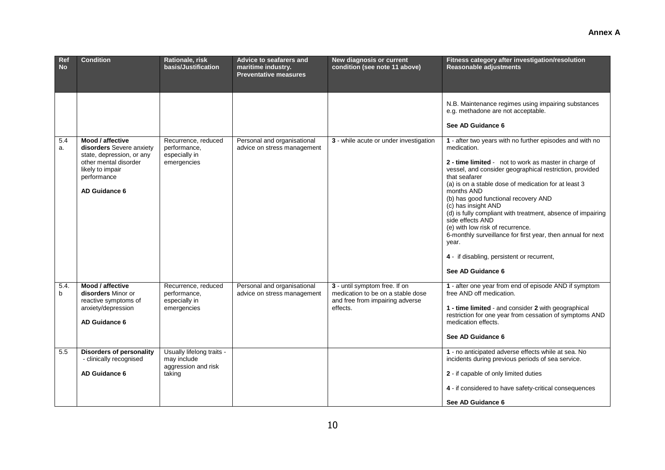#### **Ref No Condition Rationale, risk basis/Justification Advice to seafarers and maritime industry. Preventative measures New diagnosis or current condition (see note 11 above) Fitness category after investigation/resolution Reasonable adjustments** N.B. Maintenance regimes using impairing substances e.g. methadone are not acceptable. **See AD Guidance 6** 5.4 a. **Mood / affective disorders** Severe anxiety state, depression, or any other mental disorder likely to impair performance **AD Guidance 6** Recurrence, reduced performance, especially in emergencies Personal and organisational advice on stress management **3** - while acute or under investigation **1** - after two years with no further episodes and with no medication. **2 - time limited** - not to work as master in charge of vessel, and consider geographical restriction, provided that seafarer (a) is on a stable dose of medication for at least 3 months AND (b) has good functional recovery AND (c) has insight AND (d) is fully compliant with treatment, absence of impairing side effects AND (e) with low risk of recurrence. 6-monthly surveillance for first year, then annual for next year. **4** -if disabling, persistent or recurrent, **See AD Guidance 6** 5.4. b **Mood / affective disorders** Minor or reactive symptoms of anxiety/depression **AD Guidance 6** Recurrence, reduced performance, especially in emergencies Personal and organisational advice on stress management **3** - until symptom free. If on medication to be on a stable dose and free from impairing adverse effects. **1** - after one year from end of episode AND if symptom free AND off medication. **1 - time limited** - and consider **2** with geographical restriction for one year from cessation of symptoms AND medication effects. **See AD Guidance 6** 5.5 **Disorders of personality**  - clinically recognised **AD Guidance 6** Usually lifelong traits may include aggression and risk taking **1** - no anticipated adverse effects while at sea. No incidents during previous periods of sea service. **2** - if capable of only limited duties **4** - if considered to have safety-critical consequences **See AD Guidance 6**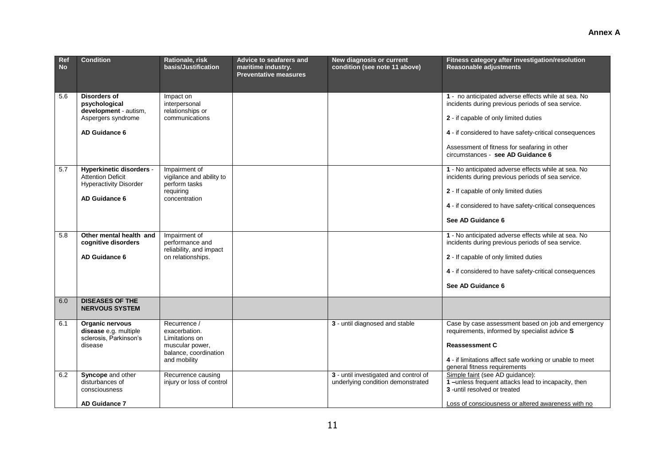| Ref<br><b>No</b> | <b>Condition</b>                                                                                              | Rationale, risk<br>basis/Justification                                                                      | Advice to seafarers and<br>maritime industry.<br><b>Preventative measures</b> | <b>New diagnosis or current</b><br>condition (see note 11 above)           | Fitness category after investigation/resolution<br><b>Reasonable adjustments</b>                                                                                                                                         |
|------------------|---------------------------------------------------------------------------------------------------------------|-------------------------------------------------------------------------------------------------------------|-------------------------------------------------------------------------------|----------------------------------------------------------------------------|--------------------------------------------------------------------------------------------------------------------------------------------------------------------------------------------------------------------------|
| 5.6              | Disorders of<br>psychological<br>development - autism,<br>Aspergers syndrome<br>AD Guidance 6                 | Impact on<br>interpersonal<br>relationships or<br>communications                                            |                                                                               |                                                                            | 1 - no anticipated adverse effects while at sea. No<br>incidents during previous periods of sea service.<br>2 - if capable of only limited duties<br>4 - if considered to have safety-critical consequences              |
|                  |                                                                                                               |                                                                                                             |                                                                               |                                                                            | Assessment of fitness for seafaring in other<br>circumstances - see AD Guidance 6                                                                                                                                        |
| 5.7              | <b>Hyperkinetic disorders -</b><br><b>Attention Deficit</b><br><b>Hyperactivity Disorder</b><br>AD Guidance 6 | Impairment of<br>vigilance and ability to<br>perform tasks<br>requiring<br>concentration                    |                                                                               |                                                                            | 1 - No anticipated adverse effects while at sea. No<br>incidents during previous periods of sea service.<br>2 - If capable of only limited duties<br>4 - if considered to have safety-critical consequences              |
|                  |                                                                                                               |                                                                                                             |                                                                               |                                                                            | See AD Guidance 6                                                                                                                                                                                                        |
| 5.8              | Other mental health and<br>cognitive disorders<br>AD Guidance 6                                               | Impairment of<br>performance and<br>reliability, and impact<br>on relationships.                            |                                                                               |                                                                            | 1 - No anticipated adverse effects while at sea. No<br>incidents during previous periods of sea service.<br>2 - If capable of only limited duties                                                                        |
|                  |                                                                                                               |                                                                                                             |                                                                               |                                                                            | 4 - if considered to have safety-critical consequences<br>See AD Guidance 6                                                                                                                                              |
|                  |                                                                                                               |                                                                                                             |                                                                               |                                                                            |                                                                                                                                                                                                                          |
| 6.0              | <b>DISEASES OF THE</b><br><b>NERVOUS SYSTEM</b>                                                               |                                                                                                             |                                                                               |                                                                            |                                                                                                                                                                                                                          |
| 6.1              | Organic nervous<br>disease e.g. multiple<br>sclerosis, Parkinson's<br>disease                                 | Recurrence /<br>exacerbation.<br>Limitations on<br>muscular power,<br>balance, coordination<br>and mobility |                                                                               | 3 - until diagnosed and stable                                             | Case by case assessment based on job and emergency<br>requirements, informed by specialist advice S<br><b>Reassessment C</b><br>4 - if limitations affect safe working or unable to meet<br>general fitness requirements |
| 6.2              | Syncope and other<br>disturbances of<br>consciousness                                                         | Recurrence causing<br>injury or loss of control                                                             |                                                                               | 3 - until investigated and control of<br>underlying condition demonstrated | Simple faint (see AD guidance):<br>1-unless frequent attacks lead to incapacity, then<br>3 - until resolved or treated                                                                                                   |
|                  | AD Guidance 7                                                                                                 |                                                                                                             |                                                                               |                                                                            | Loss of consciousness or altered awareness with no                                                                                                                                                                       |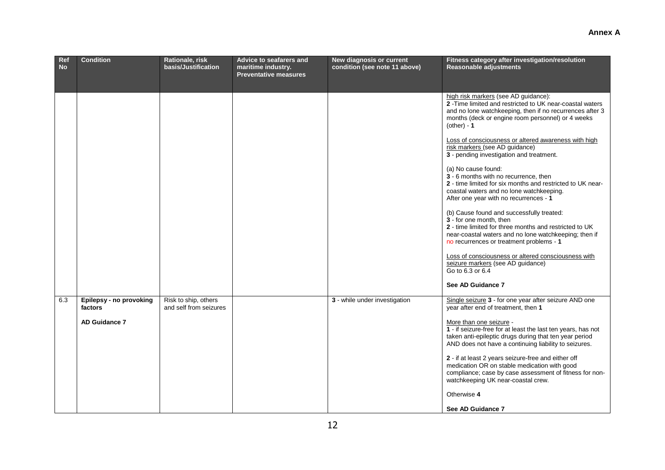| Ref<br><b>No</b> | <b>Condition</b>                                           | Rationale, risk<br>basis/Justification         | <b>Advice to seafarers and</b><br>maritime industry.<br><b>Preventative measures</b> | New diagnosis or current<br>condition (see note 11 above) | Fitness category after investigation/resolution<br>Reasonable adjustments                                                                                                                                                                                                                                                                                                                                                                                                                                                                                                                                                                                                                                                                                                                                                                                                                                                                            |
|------------------|------------------------------------------------------------|------------------------------------------------|--------------------------------------------------------------------------------------|-----------------------------------------------------------|------------------------------------------------------------------------------------------------------------------------------------------------------------------------------------------------------------------------------------------------------------------------------------------------------------------------------------------------------------------------------------------------------------------------------------------------------------------------------------------------------------------------------------------------------------------------------------------------------------------------------------------------------------------------------------------------------------------------------------------------------------------------------------------------------------------------------------------------------------------------------------------------------------------------------------------------------|
|                  |                                                            |                                                |                                                                                      |                                                           | high risk markers (see AD guidance):<br>2 - Time limited and restricted to UK near-coastal waters<br>and no lone watchkeeping, then if no recurrences after 3<br>months (deck or engine room personnel) or 4 weeks<br>$(other) - 1$<br>Loss of consciousness or altered awareness with high<br>risk markers (see AD guidance)<br>3 - pending investigation and treatment.<br>(a) No cause found:<br>3 - 6 months with no recurrence, then<br>2 - time limited for six months and restricted to UK near-<br>coastal waters and no lone watchkeeping.<br>After one year with no recurrences - 1<br>(b) Cause found and successfully treated:<br>3 - for one month, then<br>2 - time limited for three months and restricted to UK<br>near-coastal waters and no lone watchkeeping; then if<br>no recurrences or treatment problems - 1<br>Loss of consciousness or altered consciousness with<br>seizure markers (see AD guidance)<br>Go to 6.3 or 6.4 |
|                  |                                                            |                                                |                                                                                      |                                                           | See AD Guidance 7                                                                                                                                                                                                                                                                                                                                                                                                                                                                                                                                                                                                                                                                                                                                                                                                                                                                                                                                    |
| 6.3              | Epilepsy - no provoking<br>factors<br><b>AD Guidance 7</b> | Risk to ship, others<br>and self from seizures |                                                                                      | 3 - while under investigation                             | Single seizure 3 - for one year after seizure AND one<br>year after end of treatment, then 1<br>More than one seizure -<br>1 - if seizure-free for at least the last ten years, has not<br>taken anti-epileptic drugs during that ten year period<br>AND does not have a continuing liability to seizures.<br>2 - if at least 2 years seizure-free and either off<br>medication OR on stable medication with good<br>compliance; case by case assessment of fitness for non-<br>watchkeeping UK near-coastal crew.<br>Otherwise 4<br>See AD Guidance 7                                                                                                                                                                                                                                                                                                                                                                                               |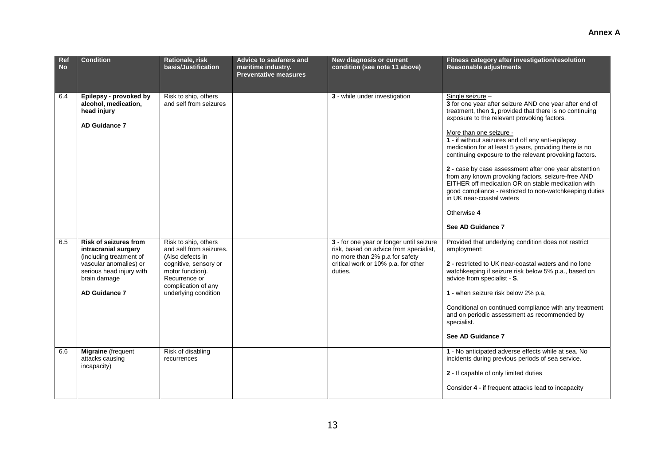| Ref<br><b>No</b> | <b>Condition</b>                                                                                                                                                              | Rationale, risk<br>basis/Justification                                                                                                                                           | Advice to seafarers and<br>maritime industry.<br><b>Preventative measures</b> | New diagnosis or current<br>condition (see note 11 above)                                                                                                              | Fitness category after investigation/resolution<br>Reasonable adjustments                                                                                                                                                                                                                                                                                                                                                                                                                                                                                                                                                                                                                 |
|------------------|-------------------------------------------------------------------------------------------------------------------------------------------------------------------------------|----------------------------------------------------------------------------------------------------------------------------------------------------------------------------------|-------------------------------------------------------------------------------|------------------------------------------------------------------------------------------------------------------------------------------------------------------------|-------------------------------------------------------------------------------------------------------------------------------------------------------------------------------------------------------------------------------------------------------------------------------------------------------------------------------------------------------------------------------------------------------------------------------------------------------------------------------------------------------------------------------------------------------------------------------------------------------------------------------------------------------------------------------------------|
| 6.4              | Epilepsy - provoked by<br>alcohol, medication,<br>head injury<br><b>AD Guidance 7</b>                                                                                         | Risk to ship, others<br>and self from seizures                                                                                                                                   |                                                                               | 3 - while under investigation                                                                                                                                          | Single seizure -<br>3 for one year after seizure AND one year after end of<br>treatment, then 1, provided that there is no continuing<br>exposure to the relevant provoking factors.<br>More than one seizure -<br>1 - if without seizures and off any anti-epilepsy<br>medication for at least 5 years, providing there is no<br>continuing exposure to the relevant provoking factors.<br>2 - case by case assessment after one year abstention<br>from any known provoking factors, seizure-free AND<br>EITHER off medication OR on stable medication with<br>good compliance - restricted to non-watchkeeping duties<br>in UK near-coastal waters<br>Otherwise 4<br>See AD Guidance 7 |
| 6.5              | <b>Risk of seizures from</b><br>intracranial surgery<br>(including treatment of<br>vascular anomalies) or<br>serious head injury with<br>brain damage<br><b>AD Guidance 7</b> | Risk to ship, others<br>and self from seizures.<br>(Also defects in<br>cognitive, sensory or<br>motor function).<br>Recurrence or<br>complication of any<br>underlying condition |                                                                               | 3 - for one year or longer until seizure<br>risk, based on advice from specialist,<br>no more than 2% p.a for safety<br>critical work or 10% p.a. for other<br>duties. | Provided that underlying condition does not restrict<br>employment:<br>2 - restricted to UK near-coastal waters and no lone<br>watchkeeping if seizure risk below 5% p.a., based on<br>advice from specialist - S.<br>1 - when seizure risk below 2% p.a,<br>Conditional on continued compliance with any treatment<br>and on periodic assessment as recommended by<br>specialist.<br>See AD Guidance 7                                                                                                                                                                                                                                                                                   |
| 6.6              | Migraine (frequent<br>attacks causing<br>incapacity)                                                                                                                          | Risk of disabling<br>recurrences                                                                                                                                                 |                                                                               |                                                                                                                                                                        | 1 - No anticipated adverse effects while at sea. No<br>incidents during previous periods of sea service.<br>2 - If capable of only limited duties<br>Consider 4 - if frequent attacks lead to incapacity                                                                                                                                                                                                                                                                                                                                                                                                                                                                                  |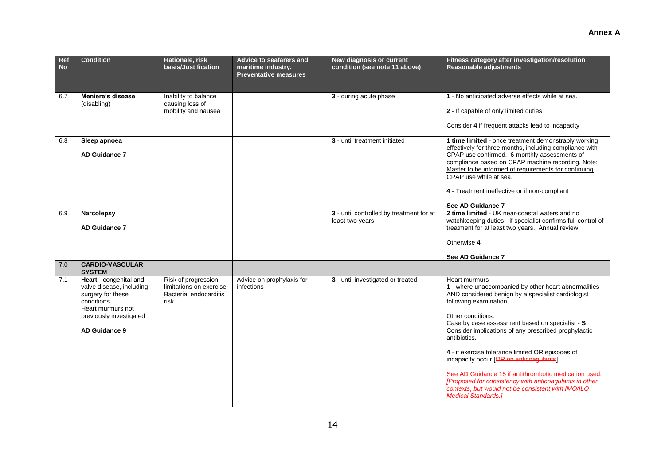| Ref<br><b>No</b> | <b>Condition</b>                                                                                                                                        | Rationale, risk<br>basis/Justification                                             | Advice to seafarers and<br>maritime industry.<br><b>Preventative measures</b> | New diagnosis or current<br>condition (see note 11 above)   | Fitness category after investigation/resolution<br><b>Reasonable adjustments</b>                                                                                                                                                                                                                                                                                                                                                                                                                                                                                                                             |
|------------------|---------------------------------------------------------------------------------------------------------------------------------------------------------|------------------------------------------------------------------------------------|-------------------------------------------------------------------------------|-------------------------------------------------------------|--------------------------------------------------------------------------------------------------------------------------------------------------------------------------------------------------------------------------------------------------------------------------------------------------------------------------------------------------------------------------------------------------------------------------------------------------------------------------------------------------------------------------------------------------------------------------------------------------------------|
| 6.7              | Meniere's disease<br>(disabling)                                                                                                                        | Inability to balance<br>causing loss of<br>mobility and nausea                     |                                                                               | 3 - during acute phase                                      | 1 - No anticipated adverse effects while at sea.<br>2 - If capable of only limited duties<br>Consider 4 if frequent attacks lead to incapacity                                                                                                                                                                                                                                                                                                                                                                                                                                                               |
| 6.8              | Sleep apnoea<br><b>AD Guidance 7</b>                                                                                                                    |                                                                                    |                                                                               | 3 - until treatment initiated                               | 1 time limited - once treatment demonstrably working<br>effectively for three months, including compliance with<br>CPAP use confirmed. 6-monthly assessments of<br>compliance based on CPAP machine recording. Note:<br>Master to be informed of requirements for continuing<br>CPAP use while at sea.<br>4 - Treatment ineffective or if non-compliant<br>See AD Guidance 7                                                                                                                                                                                                                                 |
| 6.9              | <b>Narcolepsy</b><br><b>AD Guidance 7</b>                                                                                                               |                                                                                    |                                                                               | 3 - until controlled by treatment for at<br>least two years | 2 time limited - UK near-coastal waters and no<br>watchkeeping duties - if specialist confirms full control of<br>treatment for at least two years. Annual review.<br>Otherwise 4<br>See AD Guidance 7                                                                                                                                                                                                                                                                                                                                                                                                       |
| 7.0              | <b>CARDIO-VASCULAR</b><br><b>SYSTEM</b>                                                                                                                 |                                                                                    |                                                                               |                                                             |                                                                                                                                                                                                                                                                                                                                                                                                                                                                                                                                                                                                              |
| 7.1              | Heart - congenital and<br>valve disease, including<br>surgery for these<br>conditions.<br>Heart murmurs not<br>previously investigated<br>AD Guidance 9 | Risk of progression,<br>limitations on exercise.<br>Bacterial endocarditis<br>risk | Advice on prophylaxis for<br>infections                                       | 3 - until investigated or treated                           | Heart murmurs<br>1 - where unaccompanied by other heart abnormalities<br>AND considered benign by a specialist cardiologist<br>following examination.<br>Other conditions:<br>Case by case assessment based on specialist - S<br>Consider implications of any prescribed prophylactic<br>antibiotics.<br>4 - if exercise tolerance limited OR episodes of<br>incapacity occur [OR on anticoagulants].<br>See AD Guidance 15 if antithrombotic medication used.<br>[Proposed for consistency with anticoagulants in other<br>contexts, but would not be consistent with IMO/ILO<br><b>Medical Standards.]</b> |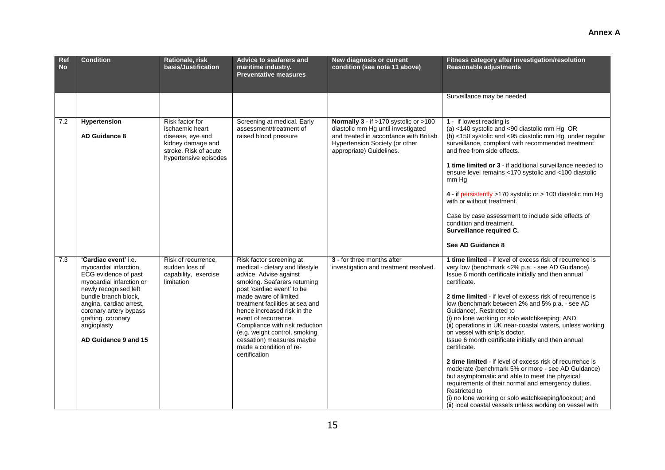| Ref<br><b>No</b> | <b>Condition</b>                                                                                                                                                                                                                                                      | Rationale, risk<br>basis/Justification                                                                                        | <b>Advice to seafarers and</b><br>maritime industry.<br><b>Preventative measures</b>                                                                                                                                                                                                                                                                                                                               | New diagnosis or current<br>condition (see note 11 above)                                                                                                                           | Fitness category after investigation/resolution<br>Reasonable adjustments                                                                                                                                                                                                                                                                                                                                                                                                                                                                                                                                                                                                                                                                                                                                                                                                                                             |
|------------------|-----------------------------------------------------------------------------------------------------------------------------------------------------------------------------------------------------------------------------------------------------------------------|-------------------------------------------------------------------------------------------------------------------------------|--------------------------------------------------------------------------------------------------------------------------------------------------------------------------------------------------------------------------------------------------------------------------------------------------------------------------------------------------------------------------------------------------------------------|-------------------------------------------------------------------------------------------------------------------------------------------------------------------------------------|-----------------------------------------------------------------------------------------------------------------------------------------------------------------------------------------------------------------------------------------------------------------------------------------------------------------------------------------------------------------------------------------------------------------------------------------------------------------------------------------------------------------------------------------------------------------------------------------------------------------------------------------------------------------------------------------------------------------------------------------------------------------------------------------------------------------------------------------------------------------------------------------------------------------------|
|                  |                                                                                                                                                                                                                                                                       |                                                                                                                               |                                                                                                                                                                                                                                                                                                                                                                                                                    |                                                                                                                                                                                     | Surveillance may be needed                                                                                                                                                                                                                                                                                                                                                                                                                                                                                                                                                                                                                                                                                                                                                                                                                                                                                            |
| 7.2              | Hypertension<br><b>AD Guidance 8</b>                                                                                                                                                                                                                                  | Risk factor for<br>ischaemic heart<br>disease, eve and<br>kidney damage and<br>stroke. Risk of acute<br>hypertensive episodes | Screening at medical. Early<br>assessment/treatment of<br>raised blood pressure                                                                                                                                                                                                                                                                                                                                    | Normally 3 - if >170 systolic or >100<br>diastolic mm Hg until investigated<br>and treated in accordance with British<br>Hypertension Society (or other<br>appropriate) Guidelines. | 1 - if lowest reading is<br>(a) <140 systolic and <90 diastolic mm Hg OR<br>(b) <150 systolic and <95 diastolic mm Hg, under regular<br>surveillance, compliant with recommended treatment<br>and free from side effects.<br>1 time limited or 3 - if additional surveillance needed to<br>ensure level remains <170 systolic and <100 diastolic<br>mm Hg<br>4 - if persistently >170 systolic or > 100 diastolic mm Hg<br>with or without treatment.<br>Case by case assessment to include side effects of<br>condition and treatment.<br>Surveillance required C.<br>See AD Guidance 8                                                                                                                                                                                                                                                                                                                              |
| 7.3              | 'Cardiac event' i.e.<br>myocardial infarction,<br>ECG evidence of past<br>myocardial infarction or<br>newly recognised left<br>bundle branch block,<br>angina, cardiac arrest,<br>coronary artery bypass<br>grafting, coronary<br>angioplasty<br>AD Guidance 9 and 15 | Risk of recurrence,<br>sudden loss of<br>capability, exercise<br>limitation                                                   | Risk factor screening at<br>medical - dietary and lifestyle<br>advice. Advise against<br>smoking. Seafarers returning<br>post 'cardiac event' to be<br>made aware of limited<br>treatment facilities at sea and<br>hence increased risk in the<br>event of recurrence.<br>Compliance with risk reduction<br>(e.g. weight control, smoking<br>cessation) measures maybe<br>made a condition of re-<br>certification | 3 - for three months after<br>investigation and treatment resolved.                                                                                                                 | 1 time limited - if level of excess risk of recurrence is<br>very low (benchmark <2% p.a. - see AD Guidance).<br>Issue 6 month certificate initially and then annual<br>certificate.<br>2 time limited - if level of excess risk of recurrence is<br>low (benchmark between 2% and 5% p.a. - see AD<br>Guidance). Restricted to<br>(i) no lone working or solo watchkeeping; AND<br>(ii) operations in UK near-coastal waters, unless working<br>on vessel with ship's doctor.<br>Issue 6 month certificate initially and then annual<br>certificate.<br>2 time limited - if level of excess risk of recurrence is<br>moderate (benchmark 5% or more - see AD Guidance)<br>but asymptomatic and able to meet the physical<br>requirements of their normal and emergency duties.<br>Restricted to<br>(i) no lone working or solo watchkeeping/lookout; and<br>(ii) local coastal vessels unless working on vessel with |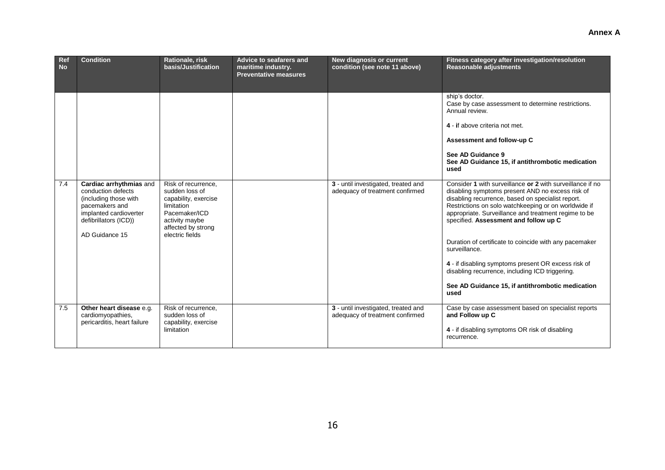| Ref<br><b>No</b> | <b>Condition</b>                                                                                                                                              | Rationale, risk<br>basis/Justification                                                                                                                  | Advice to seafarers and<br>maritime industry.<br><b>Preventative measures</b> | New diagnosis or current<br>condition (see note 11 above)              | Fitness category after investigation/resolution<br><b>Reasonable adjustments</b>                                                                                                                                                                                                                                                                                                                                                                                                                                                                                                                                                                                                                                                                                                                                        |
|------------------|---------------------------------------------------------------------------------------------------------------------------------------------------------------|---------------------------------------------------------------------------------------------------------------------------------------------------------|-------------------------------------------------------------------------------|------------------------------------------------------------------------|-------------------------------------------------------------------------------------------------------------------------------------------------------------------------------------------------------------------------------------------------------------------------------------------------------------------------------------------------------------------------------------------------------------------------------------------------------------------------------------------------------------------------------------------------------------------------------------------------------------------------------------------------------------------------------------------------------------------------------------------------------------------------------------------------------------------------|
| 7.4              | Cardiac arrhythmias and<br>conduction defects<br>(including those with<br>pacemakers and<br>implanted cardioverter<br>defibrillators (ICD))<br>AD Guidance 15 | Risk of recurrence.<br>sudden loss of<br>capability, exercise<br>limitation<br>Pacemaker/ICD<br>activity maybe<br>affected by strong<br>electric fields |                                                                               | 3 - until investigated, treated and<br>adequacy of treatment confirmed | ship's doctor.<br>Case by case assessment to determine restrictions.<br>Annual review.<br>4 - if above criteria not met.<br>Assessment and follow-up C<br>See AD Guidance 9<br>See AD Guidance 15, if antithrombotic medication<br>used<br>Consider 1 with surveillance or 2 with surveillance if no<br>disabling symptoms present AND no excess risk of<br>disabling recurrence, based on specialist report.<br>Restrictions on solo watchkeeping or on worldwide if<br>appropriate. Surveillance and treatment regime to be<br>specified. Assessment and follow up C<br>Duration of certificate to coincide with any pacemaker<br>surveillance.<br>4 - if disabling symptoms present OR excess risk of<br>disabling recurrence, including ICD triggering.<br>See AD Guidance 15, if antithrombotic medication<br>used |
| 7.5              | Other heart disease e.g.<br>cardiomyopathies,<br>pericarditis, heart failure                                                                                  | Risk of recurrence,<br>sudden loss of<br>capability, exercise<br>limitation                                                                             |                                                                               | 3 - until investigated, treated and<br>adequacy of treatment confirmed | Case by case assessment based on specialist reports<br>and Follow up C<br>4 - if disabling symptoms OR risk of disabling<br>recurrence.                                                                                                                                                                                                                                                                                                                                                                                                                                                                                                                                                                                                                                                                                 |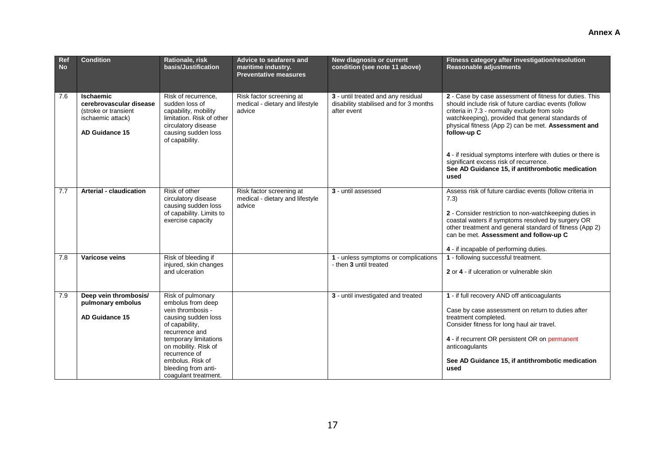| Ref<br><b>No</b> | <b>Condition</b>                                                                                           | Rationale, risk<br>basis/Justification                                                                                                                                                                                                                      | Advice to seafarers and<br>maritime industry.<br><b>Preventative measures</b> | New diagnosis or current<br>condition (see note 11 above)                                   | Fitness category after investigation/resolution<br><b>Reasonable adjustments</b>                                                                                                                                                                                                                                                                                                                                                                               |
|------------------|------------------------------------------------------------------------------------------------------------|-------------------------------------------------------------------------------------------------------------------------------------------------------------------------------------------------------------------------------------------------------------|-------------------------------------------------------------------------------|---------------------------------------------------------------------------------------------|----------------------------------------------------------------------------------------------------------------------------------------------------------------------------------------------------------------------------------------------------------------------------------------------------------------------------------------------------------------------------------------------------------------------------------------------------------------|
| 7.6              | <b>Ischaemic</b><br>cerebrovascular disease<br>(stroke or transient<br>ischaemic attack)<br>AD Guidance 15 | Risk of recurrence.<br>sudden loss of<br>capability, mobility<br>limitation. Risk of other<br>circulatory disease<br>causing sudden loss<br>of capability.                                                                                                  | Risk factor screening at<br>medical - dietary and lifestyle<br>advice         | 3 - until treated and any residual<br>disability stabilised and for 3 months<br>after event | 2 - Case by case assessment of fitness for duties. This<br>should include risk of future cardiac events (follow<br>criteria in 7.3 - normally exclude from solo<br>watchkeeping), provided that general standards of<br>physical fitness (App 2) can be met. Assessment and<br>follow-up C<br>4 - if residual symptoms interfere with duties or there is<br>significant excess risk of recurrence.<br>See AD Guidance 15, if antithrombotic medication<br>used |
| 7.7              | <b>Arterial - claudication</b>                                                                             | Risk of other<br>circulatory disease<br>causing sudden loss<br>of capability. Limits to<br>exercise capacity                                                                                                                                                | Risk factor screening at<br>medical - dietary and lifestyle<br>advice         | 3 - until assessed                                                                          | Assess risk of future cardiac events (follow criteria in<br>7.3)<br>2 - Consider restriction to non-watchkeeping duties in<br>coastal waters if symptoms resolved by surgery OR<br>other treatment and general standard of fitness (App 2)<br>can be met. Assessment and follow-up C<br>4 - if incapable of performing duties.                                                                                                                                 |
| 7.8              | Varicose veins                                                                                             | Risk of bleeding if<br>injured, skin changes<br>and ulceration                                                                                                                                                                                              |                                                                               | 1 - unless symptoms or complications<br>- then 3 until treated                              | 1 - following successful treatment.<br>2 or 4 - if ulceration or vulnerable skin                                                                                                                                                                                                                                                                                                                                                                               |
| 7.9              | Deep vein thrombosis/<br>pulmonary embolus<br>AD Guidance 15                                               | Risk of pulmonary<br>embolus from deep<br>vein thrombosis -<br>causing sudden loss<br>of capability,<br>recurrence and<br>temporary limitations<br>on mobility. Risk of<br>recurrence of<br>embolus. Risk of<br>bleeding from anti-<br>coagulant treatment. |                                                                               | 3 - until investigated and treated                                                          | 1 - if full recovery AND off anticoagulants<br>Case by case assessment on return to duties after<br>treatment completed.<br>Consider fitness for long haul air travel.<br>4 - if recurrent OR persistent OR on permanent<br>anticoagulants<br>See AD Guidance 15, if antithrombotic medication<br>used                                                                                                                                                         |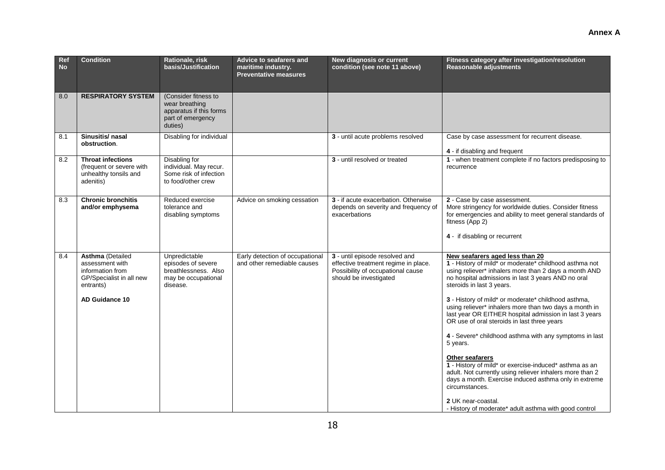#### **Condition Rationale, risk basis/Justification Advice to seafarers and maritime industry. Preventative measures New diagnosis or current condition (see note 11 above) Fitness category after investigation/resolution Reasonable adjustments** 8.0 **RESPIRATORY SYSTEM** (Consider fitness to wear breathing apparatus if this forms part of emergency duties) 8.1 **Sinusitis/ nasal obstruction**. Disabling for individual **3** - until acute problems resolved Case by case assessment for recurrent disease. **4** - if disabling and frequent 8.2 **Throat infections**  (frequent or severe with unhealthy tonsils and adenitis) Disabling for individual. May recur. Some risk of infection to food/other crew **3** - until resolved or treated **1** - when treatment complete if no factors predisposing to recurrence 8.3 **Chronic bronchitis and/or emphysema**  Reduced exercise tolerance and disabling symptoms Advice on smoking cessation **3** - if acute exacerbation. Otherwise depends on severity and frequency of exacerbations **2** - Case by case assessment. More stringency for worldwide duties. Consider fitness for emergencies and ability to meet general standards of fitness (App 2) **4** - if disabling or recurrent 8.4 **Asthma** (Detailed assessment with information from GP/Specialist in all new entrants) **AD Guidance 10** Unpredictable episodes of severe breathlessness. Also may be occupational disease. Early detection of occupational and other remediable causes **3** - until episode resolved and effective treatment regime in place. Possibility of occupational cause should be investigated **New seafarers aged less than 20 1** - History of mild\* or moderate\* childhood asthma not using reliever\* inhalers more than 2 days a month AND no hospital admissions in last 3 years AND no oral steroids in last 3 years. **3** - History of mild\* or moderate\* childhood asthma, using reliever\* inhalers more than two days a month in last year OR EITHER hospital admission in last 3 years OR use of oral steroids in last three years **4** - Severe\* childhood asthma with any symptoms in last 5 years. **Other seafarers 1** - History of mild\* or exercise-induced\* asthma as an adult. Not currently using reliever inhalers more than 2 days a month. Exercise induced asthma only in extreme circumstances.

**Ref No** 

18

**2** UK near-coastal.

- History of moderate\* adult asthma with good control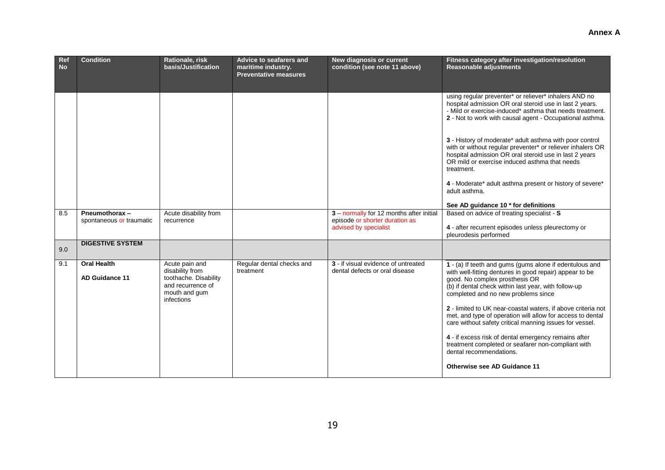| Ref<br><b>No</b> | <b>Condition</b>                            | Rationale, risk<br>basis/Justification                                                                         | Advice to seafarers and<br>maritime industry.<br><b>Preventative measures</b> | New diagnosis or current<br>condition (see note 11 above)                                           | Fitness category after investigation/resolution<br><b>Reasonable adjustments</b>                                                                                                                                                                                                                                                                                                                                                                                                                                                                                                                                             |
|------------------|---------------------------------------------|----------------------------------------------------------------------------------------------------------------|-------------------------------------------------------------------------------|-----------------------------------------------------------------------------------------------------|------------------------------------------------------------------------------------------------------------------------------------------------------------------------------------------------------------------------------------------------------------------------------------------------------------------------------------------------------------------------------------------------------------------------------------------------------------------------------------------------------------------------------------------------------------------------------------------------------------------------------|
|                  |                                             |                                                                                                                |                                                                               |                                                                                                     | using regular preventer* or reliever* inhalers AND no<br>hospital admission OR oral steroid use in last 2 years.<br>- Mild or exercise-induced* asthma that needs treatment.<br>2 - Not to work with causal agent - Occupational asthma.<br>3 - History of moderate* adult asthma with poor control<br>with or without regular preventer* or reliever inhalers OR<br>hospital admission OR oral steroid use in last 2 years                                                                                                                                                                                                  |
|                  |                                             |                                                                                                                |                                                                               |                                                                                                     | OR mild or exercise induced asthma that needs<br>treatment.<br>4 - Moderate* adult asthma present or history of severe*                                                                                                                                                                                                                                                                                                                                                                                                                                                                                                      |
|                  |                                             |                                                                                                                |                                                                               |                                                                                                     | adult asthma.<br>See AD guidance 10 * for definitions                                                                                                                                                                                                                                                                                                                                                                                                                                                                                                                                                                        |
| 8.5              | Pneumothorax-<br>spontaneous or traumatic   | Acute disability from<br>recurrence                                                                            |                                                                               | 3 - normally for 12 months after initial<br>episode or shorter duration as<br>advised by specialist | Based on advice of treating specialist - S<br>4 - after recurrent episodes unless pleurectomy or<br>pleurodesis performed                                                                                                                                                                                                                                                                                                                                                                                                                                                                                                    |
| 9.0              | <b>DIGESTIVE SYSTEM</b>                     |                                                                                                                |                                                                               |                                                                                                     |                                                                                                                                                                                                                                                                                                                                                                                                                                                                                                                                                                                                                              |
| 9.1              | <b>Oral Health</b><br><b>AD Guidance 11</b> | Acute pain and<br>disability from<br>toothache. Disability<br>and recurrence of<br>mouth and gum<br>infections | Regular dental checks and<br>treatment                                        | 3 - if visual evidence of untreated<br>dental defects or oral disease                               | 1 - (a) If teeth and gums (gums alone if edentulous and<br>with well-fitting dentures in good repair) appear to be<br>good. No complex prosthesis OR<br>(b) if dental check within last year, with follow-up<br>completed and no new problems since<br>2 - limited to UK near-coastal waters, if above criteria not<br>met, and type of operation will allow for access to dental<br>care without safety critical manning issues for vessel.<br>4 - if excess risk of dental emergency remains after<br>treatment completed or seafarer non-compliant with<br>dental recommendations.<br><b>Otherwise see AD Guidance 11</b> |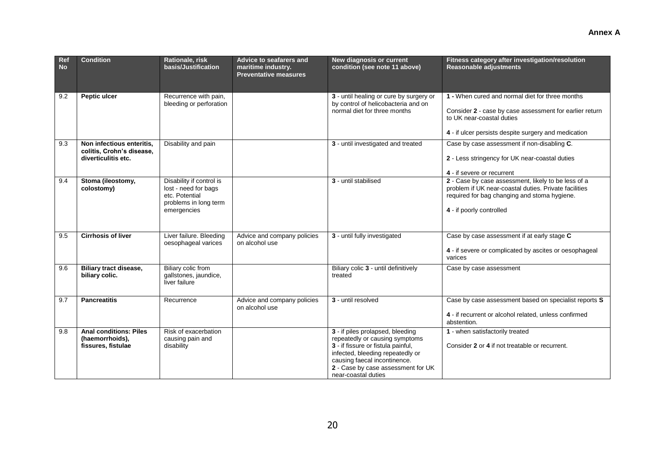| Ref<br><b>No</b> | <b>Condition</b>                                                              | Rationale, risk<br>basis/Justification                                                                     | Advice to seafarers and<br>maritime industry.<br><b>Preventative measures</b> | New diagnosis or current<br>condition (see note 11 above)                                                                                                                                                          | Fitness category after investigation/resolution<br>Reasonable adjustments                                                                                                                       |
|------------------|-------------------------------------------------------------------------------|------------------------------------------------------------------------------------------------------------|-------------------------------------------------------------------------------|--------------------------------------------------------------------------------------------------------------------------------------------------------------------------------------------------------------------|-------------------------------------------------------------------------------------------------------------------------------------------------------------------------------------------------|
| 9.2              | Peptic ulcer                                                                  | Recurrence with pain,<br>bleeding or perforation                                                           |                                                                               | 3 - until healing or cure by surgery or<br>by control of helicobacteria and on<br>normal diet for three months                                                                                                     | 1 - When cured and normal diet for three months<br>Consider 2 - case by case assessment for earlier return<br>to UK near-coastal duties<br>4 - if ulcer persists despite surgery and medication |
| 9.3              | Non infectious enteritis,<br>colitis, Crohn's disease,<br>diverticulitis etc. | Disability and pain                                                                                        |                                                                               | 3 - until investigated and treated                                                                                                                                                                                 | Case by case assessment if non-disabling C.<br>2 - Less stringency for UK near-coastal duties<br>4 - if severe or recurrent                                                                     |
| 9.4              | Stoma (ileostomy,<br>colostomy)                                               | Disability if control is<br>lost - need for bags<br>etc. Potential<br>problems in long term<br>emergencies |                                                                               | 3 - until stabilised                                                                                                                                                                                               | 2 - Case by case assessment, likely to be less of a<br>problem if UK near-coastal duties. Private facilities<br>required for bag changing and stoma hygiene.<br>4 - if poorly controlled        |
| 9.5              | <b>Cirrhosis of liver</b>                                                     | Liver failure. Bleeding<br>oesophageal varices                                                             | Advice and company policies<br>on alcohol use                                 | 3 - until fully investigated                                                                                                                                                                                       | Case by case assessment if at early stage C<br>4 - if severe or complicated by ascites or oesophageal<br>varices                                                                                |
| 9.6              | <b>Biliary tract disease,</b><br>biliary colic.                               | Biliary colic from<br>gallstones, jaundice,<br>liver failure                                               |                                                                               | Biliary colic 3 - until definitively<br>treated                                                                                                                                                                    | Case by case assessment                                                                                                                                                                         |
| 9.7              | <b>Pancreatitis</b>                                                           | Recurrence                                                                                                 | Advice and company policies<br>on alcohol use                                 | 3 - until resolved                                                                                                                                                                                                 | Case by case assessment based on specialist reports S<br>4 - if recurrent or alcohol related, unless confirmed<br>abstention.                                                                   |
| 9.8              | <b>Anal conditions: Piles</b><br>(haemorrhoids),<br>fissures, fistulae        | Risk of exacerbation<br>causing pain and<br>disability                                                     |                                                                               | 3 - if piles prolapsed, bleeding<br>repeatedly or causing symptoms<br>3 - if fissure or fistula painful,<br>infected, bleeding repeatedly or<br>causing faecal incontinence.<br>2 - Case by case assessment for UK | 1 - when satisfactorily treated<br>Consider 2 or 4 if not treatable or recurrent.                                                                                                               |

near-coastal duties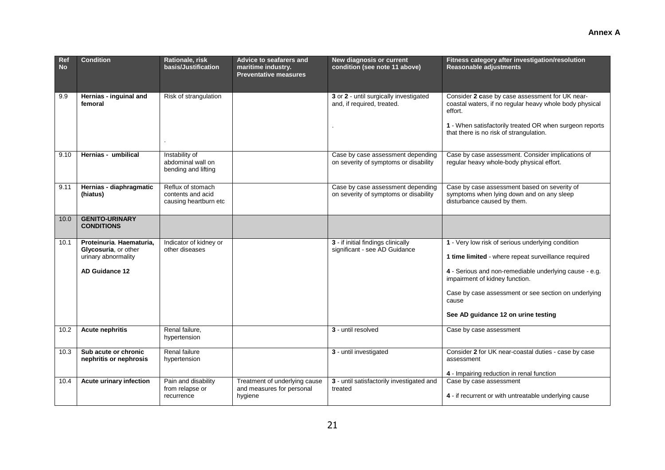| Ref<br><b>No</b> | <b>Condition</b>                                                                                 | Rationale, risk<br>basis/Justification                          | Advice to seafarers and<br>maritime industry.<br><b>Preventative measures</b> | New diagnosis or current<br>condition (see note 11 above)                  | Fitness category after investigation/resolution<br>Reasonable adjustments                                                                                                                                                                                                                                    |
|------------------|--------------------------------------------------------------------------------------------------|-----------------------------------------------------------------|-------------------------------------------------------------------------------|----------------------------------------------------------------------------|--------------------------------------------------------------------------------------------------------------------------------------------------------------------------------------------------------------------------------------------------------------------------------------------------------------|
| 9.9              | Hernias - inguinal and<br>femoral                                                                | Risk of strangulation                                           |                                                                               | 3 or 2 - until surgically investigated<br>and, if required, treated.       | Consider 2 case by case assessment for UK near-<br>coastal waters, if no regular heavy whole body physical<br>effort.<br>1 - When satisfactorily treated OR when surgeon reports<br>that there is no risk of strangulation.                                                                                  |
| 9.10             | Hernias - umbilical                                                                              | Instability of<br>abdominal wall on<br>bending and lifting      |                                                                               | Case by case assessment depending<br>on severity of symptoms or disability | Case by case assessment. Consider implications of<br>regular heavy whole-body physical effort.                                                                                                                                                                                                               |
| 9.11             | Hernias - diaphragmatic<br>(hiatus)                                                              | Reflux of stomach<br>contents and acid<br>causing heartburn etc |                                                                               | Case by case assessment depending<br>on severity of symptoms or disability | Case by case assessment based on severity of<br>symptoms when lying down and on any sleep<br>disturbance caused by them.                                                                                                                                                                                     |
| 10.0             | <b>GENITO-URINARY</b><br><b>CONDITIONS</b>                                                       |                                                                 |                                                                               |                                                                            |                                                                                                                                                                                                                                                                                                              |
| 10.1             | Proteinuria. Haematuria.<br>Glycosuria, or other<br>urinary abnormality<br><b>AD Guidance 12</b> | Indicator of kidney or<br>other diseases                        |                                                                               | 3 - if initial findings clinically<br>significant - see AD Guidance        | 1 - Very low risk of serious underlying condition<br>1 time limited - where repeat surveillance required<br>4 - Serious and non-remediable underlying cause - e.g.<br>impairment of kidney function.<br>Case by case assessment or see section on underlying<br>cause<br>See AD quidance 12 on urine testing |
| 10.2             | <b>Acute nephritis</b>                                                                           | Renal failure,<br>hypertension                                  |                                                                               | 3 - until resolved                                                         | Case by case assessment                                                                                                                                                                                                                                                                                      |
| 10.3             | Sub acute or chronic<br>nephritis or nephrosis                                                   | Renal failure<br>hypertension                                   |                                                                               | 3 - until investigated                                                     | Consider 2 for UK near-coastal duties - case by case<br>assessment<br>4 - Impairing reduction in renal function                                                                                                                                                                                              |
| 10.4             | <b>Acute urinary infection</b>                                                                   | Pain and disability<br>from relapse or<br>recurrence            | Treatment of underlying cause<br>and measures for personal<br>hygiene         | 3 - until satisfactorily investigated and<br>treated                       | Case by case assessment<br>4 - if recurrent or with untreatable underlying cause                                                                                                                                                                                                                             |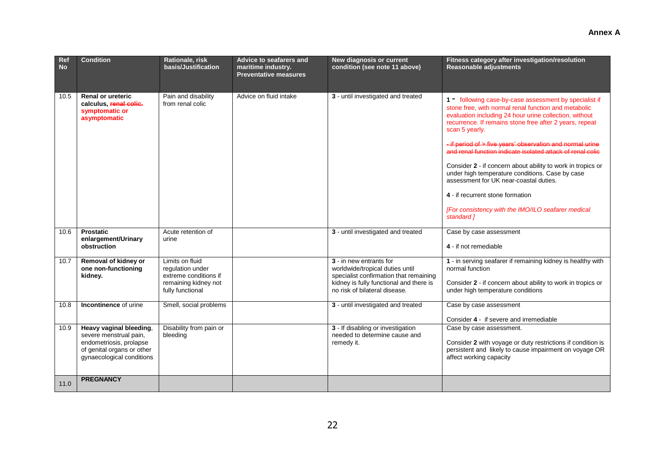| Ref<br><b>No</b> | <b>Condition</b>                                                                                                                        | Rationale, risk<br>basis/Justification                                                                   | Advice to seafarers and<br>maritime industry. | New diagnosis or current<br>condition (see note 11 above)                                                                                                                        | Fitness category after investigation/resolution<br><b>Reasonable adjustments</b>                                                                                                                                                                                                                                                                                                                                                                                                                                                                                                                                                                     |
|------------------|-----------------------------------------------------------------------------------------------------------------------------------------|----------------------------------------------------------------------------------------------------------|-----------------------------------------------|----------------------------------------------------------------------------------------------------------------------------------------------------------------------------------|------------------------------------------------------------------------------------------------------------------------------------------------------------------------------------------------------------------------------------------------------------------------------------------------------------------------------------------------------------------------------------------------------------------------------------------------------------------------------------------------------------------------------------------------------------------------------------------------------------------------------------------------------|
|                  |                                                                                                                                         |                                                                                                          | <b>Preventative measures</b>                  |                                                                                                                                                                                  |                                                                                                                                                                                                                                                                                                                                                                                                                                                                                                                                                                                                                                                      |
| 10.5             | <b>Renal or ureteric</b><br>calculus, renal colic.<br>symptomatic or<br>asymptomatic                                                    | Pain and disability<br>from renal colic                                                                  | Advice on fluid intake                        | 3 - until investigated and treated                                                                                                                                               | 1 - following case-by-case assessment by specialist if<br>stone free, with normal renal function and metabolic<br>evaluation including 24 hour urine collection, without<br>recurrence. If remains stone free after 2 years, repeat<br>scan 5 yearly.<br>- if period of > five years' observation and normal urine<br>and renal function indicate isolated attack of renal colic<br>Consider 2 - if concern about ability to work in tropics or<br>under high temperature conditions. Case by case<br>assessment for UK near-coastal duties.<br>4 - if recurrent stone formation<br>[For consistency with the IMO/ILO seafarer medical<br>standard 1 |
| 10.6             | <b>Prostatic</b>                                                                                                                        | Acute retention of                                                                                       |                                               | 3 - until investigated and treated                                                                                                                                               | Case by case assessment                                                                                                                                                                                                                                                                                                                                                                                                                                                                                                                                                                                                                              |
|                  | enlargement/Urinary<br>obstruction                                                                                                      | urine                                                                                                    |                                               |                                                                                                                                                                                  | 4 - if not remediable                                                                                                                                                                                                                                                                                                                                                                                                                                                                                                                                                                                                                                |
| 10.7             | Removal of kidney or<br>one non-functioning<br>kidney.                                                                                  | Limits on fluid<br>regulation under<br>extreme conditions if<br>remaining kidney not<br>fully functional |                                               | 3 - in new entrants for<br>worldwide/tropical duties until<br>specialist confirmation that remaining<br>kidney is fully functional and there is<br>no risk of bilateral disease. | 1 - in serving seafarer if remaining kidney is healthy with<br>normal function<br>Consider 2 - if concern about ability to work in tropics or<br>under high temperature conditions                                                                                                                                                                                                                                                                                                                                                                                                                                                                   |
| 10.8             | Incontinence of urine                                                                                                                   | Smell, social problems                                                                                   |                                               | 3 - until investigated and treated                                                                                                                                               | Case by case assessment                                                                                                                                                                                                                                                                                                                                                                                                                                                                                                                                                                                                                              |
|                  |                                                                                                                                         |                                                                                                          |                                               |                                                                                                                                                                                  | Consider 4 - if severe and irremediable                                                                                                                                                                                                                                                                                                                                                                                                                                                                                                                                                                                                              |
| 10.9             | Heavy vaginal bleeding,<br>severe menstrual pain,<br>endometriosis, prolapse<br>of genital organs or other<br>gynaecological conditions | Disability from pain or<br>bleeding                                                                      |                                               | 3 - If disabling or investigation<br>needed to determine cause and<br>remedy it.                                                                                                 | Case by case assessment.<br>Consider 2 with voyage or duty restrictions if condition is<br>persistent and likely to cause impairment on voyage OR<br>affect working capacity                                                                                                                                                                                                                                                                                                                                                                                                                                                                         |
| 11.0             | <b>PREGNANCY</b>                                                                                                                        |                                                                                                          |                                               |                                                                                                                                                                                  |                                                                                                                                                                                                                                                                                                                                                                                                                                                                                                                                                                                                                                                      |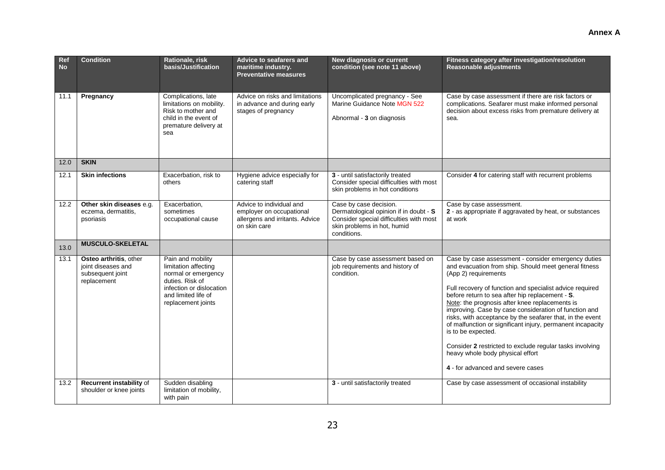| Ref<br><b>No</b> | <b>Condition</b>                                                                | Rationale, risk<br>basis/Justification                                                                                                                       | Advice to seafarers and<br>maritime industry.<br><b>Preventative measures</b>                           | New diagnosis or current<br>condition (see note 11 above)                                                                                                 | Fitness category after investigation/resolution<br>Reasonable adjustments                                                                                                                                                                                                                                                                                                                                                                                                                                                                                                                                                                            |
|------------------|---------------------------------------------------------------------------------|--------------------------------------------------------------------------------------------------------------------------------------------------------------|---------------------------------------------------------------------------------------------------------|-----------------------------------------------------------------------------------------------------------------------------------------------------------|------------------------------------------------------------------------------------------------------------------------------------------------------------------------------------------------------------------------------------------------------------------------------------------------------------------------------------------------------------------------------------------------------------------------------------------------------------------------------------------------------------------------------------------------------------------------------------------------------------------------------------------------------|
| 11.1             | Pregnancy                                                                       | Complications, late<br>limitations on mobility.<br>Risk to mother and<br>child in the event of<br>premature delivery at<br>sea                               | Advice on risks and limitations<br>in advance and during early<br>stages of pregnancy                   | Uncomplicated pregnancy - See<br>Marine Guidance Note MGN 522<br>Abnormal - 3 on diagnosis                                                                | Case by case assessment if there are risk factors or<br>complications. Seafarer must make informed personal<br>decision about excess risks from premature delivery at<br>sea.                                                                                                                                                                                                                                                                                                                                                                                                                                                                        |
| 12.0             | <b>SKIN</b>                                                                     |                                                                                                                                                              |                                                                                                         |                                                                                                                                                           |                                                                                                                                                                                                                                                                                                                                                                                                                                                                                                                                                                                                                                                      |
| 12.1             | <b>Skin infections</b>                                                          | Exacerbation, risk to<br>others                                                                                                                              | Hygiene advice especially for<br>catering staff                                                         | 3 - until satisfactorily treated<br>Consider special difficulties with most<br>skin problems in hot conditions                                            | Consider 4 for catering staff with recurrent problems                                                                                                                                                                                                                                                                                                                                                                                                                                                                                                                                                                                                |
| 12.2             | Other skin diseases e.g.<br>eczema, dermatitis,<br>psoriasis                    | Exacerbation,<br>sometimes<br>occupational cause                                                                                                             | Advice to individual and<br>employer on occupational<br>allergens and irritants. Advice<br>on skin care | Case by case decision.<br>Dermatological opinion if in doubt - S<br>Consider special difficulties with most<br>skin problems in hot, humid<br>conditions. | Case by case assessment.<br>2 - as appropriate if aggravated by heat, or substances<br>at work                                                                                                                                                                                                                                                                                                                                                                                                                                                                                                                                                       |
| 13.0             | <b>MUSCULO-SKELETAL</b>                                                         |                                                                                                                                                              |                                                                                                         |                                                                                                                                                           |                                                                                                                                                                                                                                                                                                                                                                                                                                                                                                                                                                                                                                                      |
| 13.1             | Osteo arthritis, other<br>joint diseases and<br>subsequent joint<br>replacement | Pain and mobility<br>limitation affecting<br>normal or emergency<br>duties. Risk of<br>infection or dislocation<br>and limited life of<br>replacement joints |                                                                                                         | Case by case assessment based on<br>job requirements and history of<br>condition.                                                                         | Case by case assessment - consider emergency duties<br>and evacuation from ship. Should meet general fitness<br>(App 2) requirements<br>Full recovery of function and specialist advice required<br>before return to sea after hip replacement - S.<br>Note: the prognosis after knee replacements is<br>improving. Case by case consideration of function and<br>risks, with acceptance by the seafarer that, in the event<br>of malfunction or significant injury, permanent incapacity<br>is to be expected.<br>Consider 2 restricted to exclude regular tasks involving<br>heavy whole body physical effort<br>4 - for advanced and severe cases |
| 13.2             | Recurrent instability of<br>shoulder or knee joints                             | Sudden disabling<br>limitation of mobility,<br>with pain                                                                                                     |                                                                                                         | 3 - until satisfactorily treated                                                                                                                          | Case by case assessment of occasional instability                                                                                                                                                                                                                                                                                                                                                                                                                                                                                                                                                                                                    |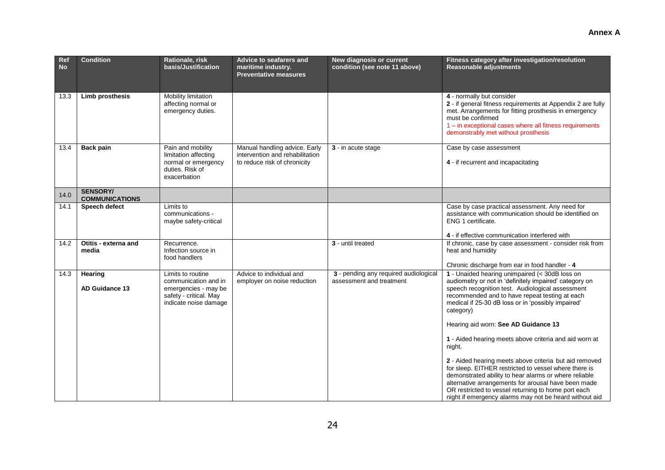| Ref<br><b>No</b> | <b>Condition</b>                         | Rationale, risk<br>basis/Justification                                                                               | Advice to seafarers and<br>maritime industry.<br><b>Preventative measures</b>                    | <b>New diagnosis or current</b><br>condition (see note 11 above)  | Fitness category after investigation/resolution<br><b>Reasonable adjustments</b>                                                                                                                                                                                                                                                                                                                                                                                                                                                                                                                                                                                                                                                                  |  |
|------------------|------------------------------------------|----------------------------------------------------------------------------------------------------------------------|--------------------------------------------------------------------------------------------------|-------------------------------------------------------------------|---------------------------------------------------------------------------------------------------------------------------------------------------------------------------------------------------------------------------------------------------------------------------------------------------------------------------------------------------------------------------------------------------------------------------------------------------------------------------------------------------------------------------------------------------------------------------------------------------------------------------------------------------------------------------------------------------------------------------------------------------|--|
| 13.3             | Limb prosthesis                          | Mobility limitation<br>affecting normal or<br>emergency duties.                                                      |                                                                                                  |                                                                   | 4 - normally but consider<br>2 - if general fitness requirements at Appendix 2 are fully<br>met. Arrangements for fitting prosthesis in emergency<br>must be confirmed<br>1 - in exceptional cases where all fitness requirements<br>demonstrably met without prosthesis                                                                                                                                                                                                                                                                                                                                                                                                                                                                          |  |
| 13.4             | <b>Back pain</b>                         | Pain and mobility<br>limitation affecting<br>normal or emergency<br>duties. Risk of<br>exacerbation                  | Manual handling advice. Early<br>intervention and rehabilitation<br>to reduce risk of chronicity | 3 - in acute stage                                                | Case by case assessment<br>4 - if recurrent and incapacitating                                                                                                                                                                                                                                                                                                                                                                                                                                                                                                                                                                                                                                                                                    |  |
| 14.0             | <b>SENSORY/</b><br><b>COMMUNICATIONS</b> |                                                                                                                      |                                                                                                  |                                                                   |                                                                                                                                                                                                                                                                                                                                                                                                                                                                                                                                                                                                                                                                                                                                                   |  |
| 14.1             | Speech defect                            | Limits to<br>communications -<br>maybe safety-critical                                                               |                                                                                                  |                                                                   | Case by case practical assessment. Any need for<br>assistance with communication should be identified on<br>ENG 1 certificate.<br>4 - if effective communication interfered with                                                                                                                                                                                                                                                                                                                                                                                                                                                                                                                                                                  |  |
| 14.2             | Otitis - externa and<br>media            | Recurrence.<br>Infection source in<br>food handlers                                                                  |                                                                                                  | 3 - until treated                                                 | If chronic, case by case assessment - consider risk from<br>heat and humidity<br>Chronic discharge from ear in food handler - 4                                                                                                                                                                                                                                                                                                                                                                                                                                                                                                                                                                                                                   |  |
| 14.3             | Hearing<br>AD Guidance 13                | Limits to routine<br>communication and in<br>emergencies - may be<br>safety - critical. May<br>indicate noise damage | Advice to individual and<br>employer on noise reduction                                          | 3 - pending any required audiological<br>assessment and treatment | 1 - Unaided hearing unimpaired (< 30dB loss on<br>audiometry or not in 'definitely impaired' category on<br>speech recognition test. Audiological assessment<br>recommended and to have repeat testing at each<br>medical if 25-30 dB loss or in 'possibly impaired'<br>category)<br>Hearing aid worn: See AD Guidance 13<br>1 - Aided hearing meets above criteria and aid worn at<br>night.<br>2 - Aided hearing meets above criteria but aid removed<br>for sleep. EITHER restricted to vessel where there is<br>demonstrated ability to hear alarms or where reliable<br>alternative arrangements for arousal have been made<br>OR restricted to vessel returning to home port each<br>night if emergency alarms may not be heard without aid |  |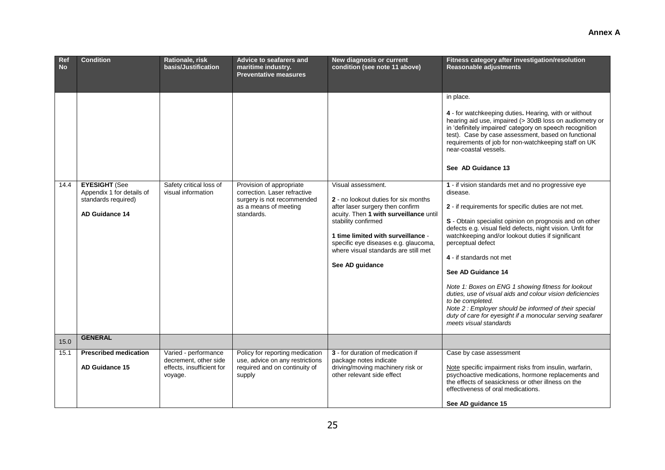| Ref<br><b>No</b> | <b>Condition</b>                                                                                  | Rationale, risk<br>basis/Justification                                                | <b>Advice to seafarers and</b><br>maritime industry.                                                                          | New diagnosis or current<br>condition (see note 11 above)                                                                                                                                                                                                                                                       | Fitness category after investigation/resolution<br>Reasonable adjustments                                                                                                                                                                                                                                                                                                                                                                                                                                                                                                                                                                                                                                                                                                                                                                                                                                                                                                                                                    |
|------------------|---------------------------------------------------------------------------------------------------|---------------------------------------------------------------------------------------|-------------------------------------------------------------------------------------------------------------------------------|-----------------------------------------------------------------------------------------------------------------------------------------------------------------------------------------------------------------------------------------------------------------------------------------------------------------|------------------------------------------------------------------------------------------------------------------------------------------------------------------------------------------------------------------------------------------------------------------------------------------------------------------------------------------------------------------------------------------------------------------------------------------------------------------------------------------------------------------------------------------------------------------------------------------------------------------------------------------------------------------------------------------------------------------------------------------------------------------------------------------------------------------------------------------------------------------------------------------------------------------------------------------------------------------------------------------------------------------------------|
|                  |                                                                                                   |                                                                                       | <b>Preventative measures</b>                                                                                                  |                                                                                                                                                                                                                                                                                                                 |                                                                                                                                                                                                                                                                                                                                                                                                                                                                                                                                                                                                                                                                                                                                                                                                                                                                                                                                                                                                                              |
| 14.4             | <b>EYESIGHT (See</b><br>Appendix 1 for details of<br>standards required)<br><b>AD Guidance 14</b> | Safety critical loss of<br>visual information                                         | Provision of appropriate<br>correction. Laser refractive<br>surgery is not recommended<br>as a means of meeting<br>standards. | Visual assessment.<br><b>2</b> - no lookout duties for six months<br>after laser surgery then confirm<br>acuity. Then 1 with surveillance until<br>stability confirmed<br>1 time limited with surveillance -<br>specific eye diseases e.g. glaucoma,<br>where visual standards are still met<br>See AD guidance | in place.<br>4 - for watchkeeping duties. Hearing, with or without<br>hearing aid use, impaired (> 30dB loss on audiometry or<br>in 'definitely impaired' category on speech recognition<br>test). Case by case assessment, based on functional<br>requirements of job for non-watchkeeping staff on UK<br>near-coastal vessels.<br>See AD Guidance 13<br>1 - if vision standards met and no progressive eye<br>disease.<br>2 - if requirements for specific duties are not met.<br>S - Obtain specialist opinion on prognosis and on other<br>defects e.g. visual field defects, night vision. Unfit for<br>watchkeeping and/or lookout duties if significant<br>perceptual defect<br>4 - if standards not met<br>See AD Guidance 14<br>Note 1: Boxes on ENG 1 showing fitness for lookout<br>duties, use of visual aids and colour vision deficiencies<br>to be completed.<br>Note 2 : Employer should be informed of their special<br>duty of care for eyesight if a monocular serving seafarer<br>meets visual standards |
| 15.0             | <b>GENERAL</b>                                                                                    |                                                                                       |                                                                                                                               |                                                                                                                                                                                                                                                                                                                 |                                                                                                                                                                                                                                                                                                                                                                                                                                                                                                                                                                                                                                                                                                                                                                                                                                                                                                                                                                                                                              |
| 15.1             | <b>Prescribed medication</b><br><b>AD Guidance 15</b>                                             | Varied - performance<br>decrement, other side<br>effects, insufficient for<br>voyage. | Policy for reporting medication<br>use, advice on any restrictions<br>required and on continuity of<br>supply                 | 3 - for duration of medication if<br>package notes indicate<br>driving/moving machinery risk or<br>other relevant side effect                                                                                                                                                                                   | Case by case assessment<br>Note specific impairment risks from insulin, warfarin,<br>psychoactive medications, hormone replacements and<br>the effects of seasickness or other illness on the<br>effectiveness of oral medications.<br>See AD quidance 15                                                                                                                                                                                                                                                                                                                                                                                                                                                                                                                                                                                                                                                                                                                                                                    |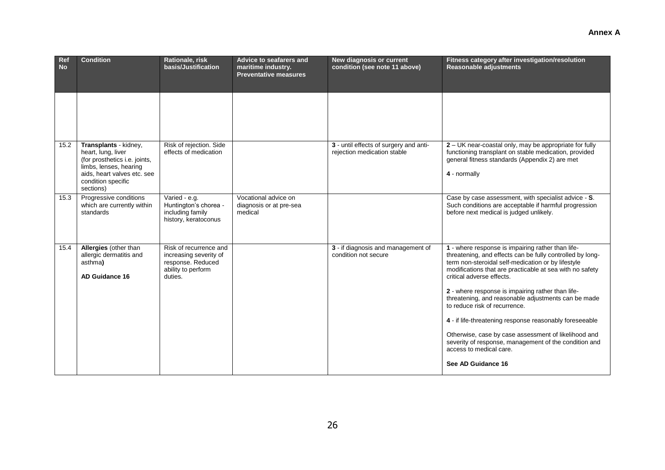| Ref<br><b>No</b> | <b>Condition</b>                                                                                                                                                         | Rationale, risk<br>basis/Justification                                                                 | Advice to seafarers and<br>maritime industry.<br><b>Preventative measures</b> | New diagnosis or current<br>condition (see note 11 above)             | Fitness category after investigation/resolution<br>Reasonable adjustments                                                                                                                                                                                                                                                                                                                                                                                                                                                                                                                                                               |
|------------------|--------------------------------------------------------------------------------------------------------------------------------------------------------------------------|--------------------------------------------------------------------------------------------------------|-------------------------------------------------------------------------------|-----------------------------------------------------------------------|-----------------------------------------------------------------------------------------------------------------------------------------------------------------------------------------------------------------------------------------------------------------------------------------------------------------------------------------------------------------------------------------------------------------------------------------------------------------------------------------------------------------------------------------------------------------------------------------------------------------------------------------|
|                  |                                                                                                                                                                          |                                                                                                        |                                                                               |                                                                       |                                                                                                                                                                                                                                                                                                                                                                                                                                                                                                                                                                                                                                         |
| 15.2             | Transplants - kidney,<br>heart, lung, liver<br>(for prosthetics i.e. joints,<br>limbs, lenses, hearing<br>aids, heart valves etc. see<br>condition specific<br>sections) | Risk of rejection. Side<br>effects of medication                                                       |                                                                               | 3 - until effects of surgery and anti-<br>rejection medication stable | 2 – UK near-coastal only, may be appropriate for fully<br>functioning transplant on stable medication, provided<br>general fitness standards (Appendix 2) are met<br>4 - normally                                                                                                                                                                                                                                                                                                                                                                                                                                                       |
| 15.3             | Progressive conditions<br>which are currently within<br>standards                                                                                                        | Varied - e.g.<br>Huntington's chorea -<br>including family<br>history, keratoconus                     | Vocational advice on<br>diagnosis or at pre-sea<br>medical                    |                                                                       | Case by case assessment, with specialist advice - S.<br>Such conditions are acceptable if harmful progression<br>before next medical is judged unlikely.                                                                                                                                                                                                                                                                                                                                                                                                                                                                                |
| 15.4             | Allergies (other than<br>allergic dermatitis and<br>asthma)<br>AD Guidance 16                                                                                            | Risk of recurrence and<br>increasing severity of<br>response. Reduced<br>ability to perform<br>duties. |                                                                               | 3 - if diagnosis and management of<br>condition not secure            | 1 - where response is impairing rather than life-<br>threatening, and effects can be fully controlled by long-<br>term non-steroidal self-medication or by lifestyle<br>modifications that are practicable at sea with no safety<br>critical adverse effects.<br>2 - where response is impairing rather than life-<br>threatening, and reasonable adjustments can be made<br>to reduce risk of recurrence.<br>4 - if life-threatening response reasonably foreseeable<br>Otherwise, case by case assessment of likelihood and<br>severity of response, management of the condition and<br>access to medical care.<br>See AD Guidance 16 |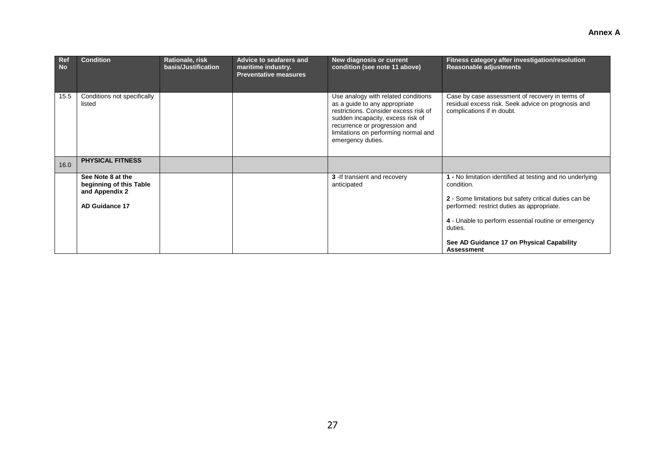| Ref<br><b>No</b> | <b>Condition</b>                                                                        | Rationale, risk<br>basis/Justification | Advice to seafarers and<br>maritime industry.<br><b>Preventative measures</b> | New diagnosis or current<br>condition (see note 11 above)                                                                                                                                                                                        | Fitness category after investigation/resolution<br><b>Reasonable adjustments</b>                                                                                                |
|------------------|-----------------------------------------------------------------------------------------|----------------------------------------|-------------------------------------------------------------------------------|--------------------------------------------------------------------------------------------------------------------------------------------------------------------------------------------------------------------------------------------------|---------------------------------------------------------------------------------------------------------------------------------------------------------------------------------|
| 15.5             | Conditions not specifically<br>listed                                                   |                                        |                                                                               | Use analogy with related conditions<br>as a guide to any appropriate<br>restrictions. Consider excess risk of<br>sudden incapacity, excess risk of<br>recurrence or progression and<br>limitations on performing normal and<br>emergency duties. | Case by case assessment of recovery in terms of<br>residual excess risk. Seek advice on prognosis and<br>complications if in doubt.                                             |
| 16.0             | <b>PHYSICAL FITNESS</b>                                                                 |                                        |                                                                               |                                                                                                                                                                                                                                                  |                                                                                                                                                                                 |
|                  | See Note 8 at the<br>beginning of this Table<br>and Appendix 2<br><b>AD Guidance 17</b> |                                        |                                                                               | 3 - If transient and recovery<br>anticipated                                                                                                                                                                                                     | 1 - No limitation identified at testing and no underlying<br>condition.<br>2 - Some limitations but safety critical duties can be<br>performed: restrict duties as appropriate. |
|                  |                                                                                         |                                        |                                                                               |                                                                                                                                                                                                                                                  | 4 - Unable to perform essential routine or emergency<br>duties.                                                                                                                 |
|                  |                                                                                         |                                        |                                                                               |                                                                                                                                                                                                                                                  | See AD Guidance 17 on Physical Capability<br><b>Assessment</b>                                                                                                                  |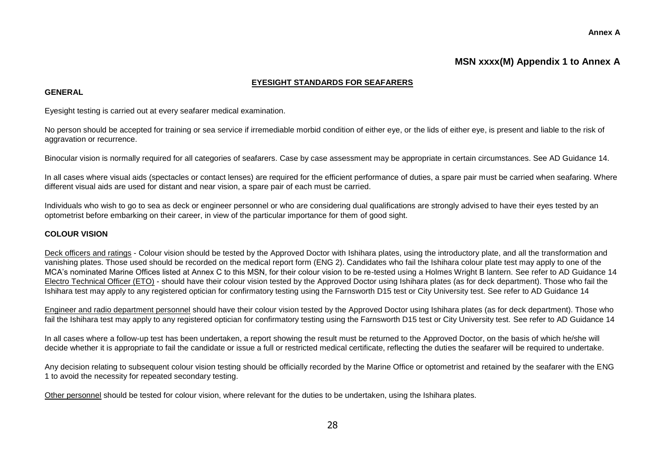#### **Annex A**

# **MSN xxxx(M) Appendix 1 to Annex A**

### **EYESIGHT STANDARDS FOR SEAFARERS**

#### **GENERAL**

Eyesight testing is carried out at every seafarer medical examination.

No person should be accepted for training or sea service if irremediable morbid condition of either eye, or the lids of either eye, is present and liable to the risk of aggravation or recurrence.

Binocular vision is normally required for all categories of seafarers. Case by case assessment may be appropriate in certain circumstances. See AD Guidance 14.

In all cases where visual aids (spectacles or contact lenses) are required for the efficient performance of duties, a spare pair must be carried when seafaring. Where different visual aids are used for distant and near vision, a spare pair of each must be carried.

Individuals who wish to go to sea as deck or engineer personnel or who are considering dual qualifications are strongly advised to have their eyes tested by an optometrist before embarking on their career, in view of the particular importance for them of good sight.

### **COLOUR VISION**

Deck officers and ratings - Colour vision should be tested by the Approved Doctor with Ishihara plates, using the introductory plate, and all the transformation and vanishing plates. Those used should be recorded on the medical report form (ENG 2). Candidates who fail the Ishihara colour plate test may apply to one of the MCA's nominated Marine Offices listed at Annex C to this MSN, for their colour vision to be re-tested using a Holmes Wright B lantern. See refer to AD Guidance 14 Electro Technical Officer (ETO) - should have their colour vision tested by the Approved Doctor using Ishihara plates (as for deck department). Those who fail the Ishihara test may apply to any registered optician for confirmatory testing using the Farnsworth D15 test or City University test. See refer to AD Guidance 14

Engineer and radio department personnel should have their colour vision tested by the Approved Doctor using Ishihara plates (as for deck department). Those who fail the Ishihara test may apply to any registered optician for confirmatory testing using the Farnsworth D15 test or City University test. See refer to AD Guidance 14

In all cases where a follow-up test has been undertaken, a report showing the result must be returned to the Approved Doctor, on the basis of which he/she will decide whether it is appropriate to fail the candidate or issue a full or restricted medical certificate, reflecting the duties the seafarer will be required to undertake.

Any decision relating to subsequent colour vision testing should be officially recorded by the Marine Office or optometrist and retained by the seafarer with the ENG 1 to avoid the necessity for repeated secondary testing.

Other personnel should be tested for colour vision, where relevant for the duties to be undertaken, using the Ishihara plates.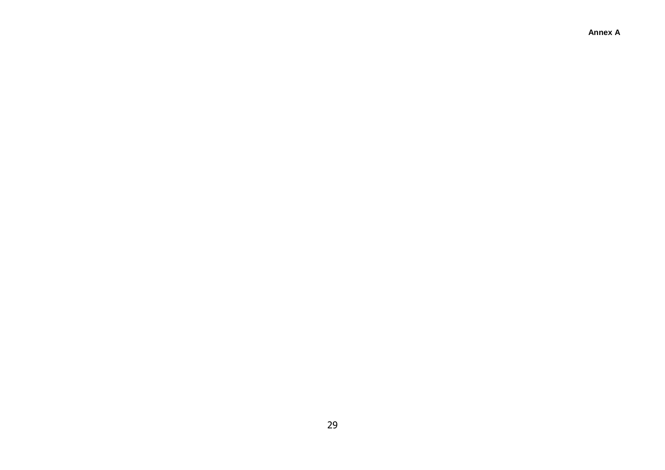**Annex A**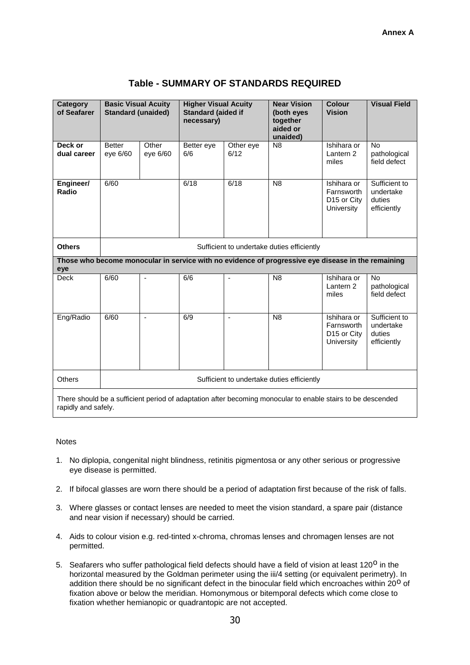| Category<br>of Seafarer                                                                                                            | <b>Basic Visual Acuity</b><br><b>Standard (unaided)</b> |                   | <b>Higher Visual Acuity</b><br><b>Standard (aided if</b><br>necessary) |                   | <b>Near Vision</b><br>(both eyes<br>together<br>aided or<br>unaided)                               | <b>Colour</b><br><b>Vision</b>                                            | <b>Visual Field</b>                                 |  |
|------------------------------------------------------------------------------------------------------------------------------------|---------------------------------------------------------|-------------------|------------------------------------------------------------------------|-------------------|----------------------------------------------------------------------------------------------------|---------------------------------------------------------------------------|-----------------------------------------------------|--|
| Deck or<br>dual career                                                                                                             | <b>Better</b><br>eye 6/60                               | Other<br>eye 6/60 | Better eye<br>6/6                                                      | Other eye<br>6/12 | N <sub>8</sub>                                                                                     | Ishihara or<br>Lantern 2<br>miles                                         | <b>No</b><br>pathological<br>field defect           |  |
| Engineer/<br>Radio                                                                                                                 | 6/60                                                    |                   | 6/18                                                                   | 6/18              | N <sub>8</sub>                                                                                     | Ishihara or<br>Farnsworth<br>D <sub>15</sub> or City<br><b>University</b> | Sufficient to<br>undertake<br>duties<br>efficiently |  |
| <b>Others</b>                                                                                                                      |                                                         |                   |                                                                        |                   | Sufficient to undertake duties efficiently                                                         |                                                                           |                                                     |  |
| eye                                                                                                                                |                                                         |                   |                                                                        |                   | Those who become monocular in service with no evidence of progressive eye disease in the remaining |                                                                           |                                                     |  |
| <b>Deck</b>                                                                                                                        | 6/60                                                    | ä,                | 6/6                                                                    | $\blacksquare$    | N <sub>8</sub>                                                                                     | Ishihara or<br>Lantern <sub>2</sub><br>miles                              | No<br>pathological<br>field defect                  |  |
| Eng/Radio                                                                                                                          | 6/60                                                    | ä,                | 6/9                                                                    | $\blacksquare$    | N <sub>8</sub>                                                                                     | Ishihara or<br>Farnsworth<br>D15 or City<br>University                    | Sufficient to<br>undertake<br>duties<br>efficiently |  |
| <b>Others</b>                                                                                                                      |                                                         |                   |                                                                        |                   | Sufficient to undertake duties efficiently                                                         |                                                                           |                                                     |  |
| There should be a sufficient period of adaptation after becoming monocular to enable stairs to be descended<br>rapidly and safely. |                                                         |                   |                                                                        |                   |                                                                                                    |                                                                           |                                                     |  |

# **Table - SUMMARY OF STANDARDS REQUIRED**

#### **Notes**

- 1. No diplopia, congenital night blindness, retinitis pigmentosa or any other serious or progressive eye disease is permitted.
- 2. If bifocal glasses are worn there should be a period of adaptation first because of the risk of falls.
- 3. Where glasses or contact lenses are needed to meet the vision standard, a spare pair (distance and near vision if necessary) should be carried.
- 4. Aids to colour vision e.g. red-tinted x-chroma, chromas lenses and chromagen lenses are not permitted.
- 5. Seafarers who suffer pathological field defects should have a field of vision at least 120<sup>0</sup> in the horizontal measured by the Goldman perimeter using the iii/4 setting (or equivalent perimetry). In addition there should be no significant defect in the binocular field which encroaches within 20<sup>0</sup> of fixation above or below the meridian. Homonymous or bitemporal defects which come close to fixation whether hemianopic or quadrantopic are not accepted.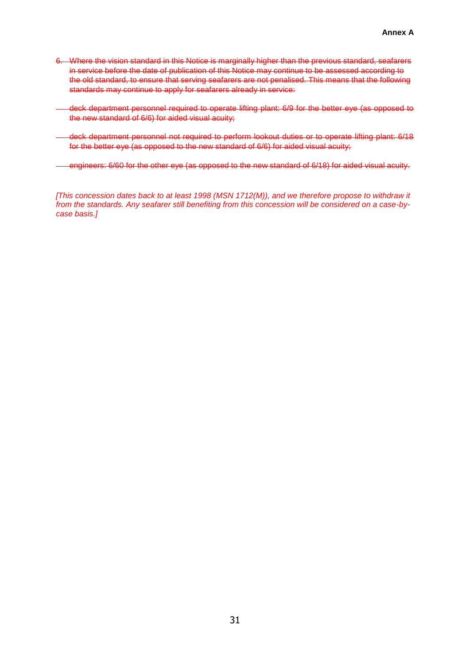- 6. Where the vision standard in this Notice is marginally higher than the previous standard, seafarers in service before the date of publication of this Notice may continue to be assessed according to the old standard, to ensure that serving seafarers are not penalised. This means that the following standards may continue to apply for seafarers already in service:
- deck department personnel required to operate lifting plant: 6/9 for the better eye (as opposed to the new standard of 6/6) for aided visual acuity;
- deck department personnel not required to perform lookout duties or to operate lifting plant: 6/18 for the better eye (as opposed to the new standard of 6/6) for aided visual acuity;
- engineers: 6/60 for the other eye (as opposed to the new standard of 6/18) for aided visual acuity.

*[This concession dates back to at least 1998 (MSN 1712(M)), and we therefore propose to withdraw it from the standards. Any seafarer still benefiting from this concession will be considered on a case-bycase basis.]*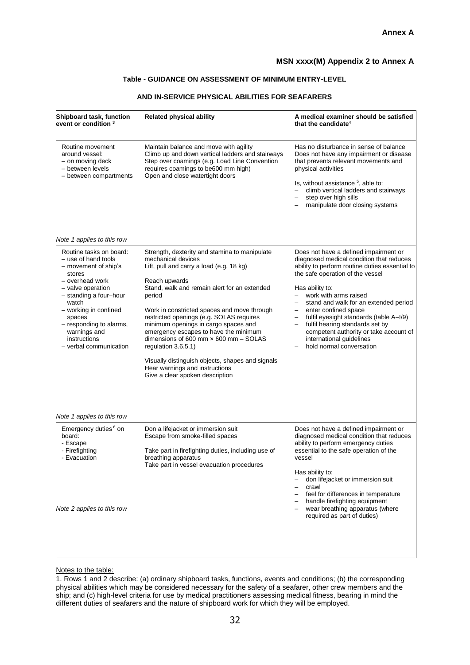# **MSN xxxx(M) Appendix 2 to Annex A**

## **Table - GUIDANCE ON ASSESSMENT OF MINIMUM ENTRY-LEVEL**

# **AND IN-SERVICE PHYSICAL ABILITIES FOR SEAFARERS**

| Shipboard task, function<br>event or condition $^{\rm 3}$                                                                                                                                                                                                                                                         | <b>Related physical ability</b>                                                                                                                                                                                                                                                                                                                                                                                                                                                                                                                                          | A medical examiner should be satisfied<br>that the candidate <sup>4</sup>                                                                                                                                                                                                                                                                                                                                                                                                                                             |
|-------------------------------------------------------------------------------------------------------------------------------------------------------------------------------------------------------------------------------------------------------------------------------------------------------------------|--------------------------------------------------------------------------------------------------------------------------------------------------------------------------------------------------------------------------------------------------------------------------------------------------------------------------------------------------------------------------------------------------------------------------------------------------------------------------------------------------------------------------------------------------------------------------|-----------------------------------------------------------------------------------------------------------------------------------------------------------------------------------------------------------------------------------------------------------------------------------------------------------------------------------------------------------------------------------------------------------------------------------------------------------------------------------------------------------------------|
| Routine movement<br>around vessel:<br>- on moving deck<br>- between levels<br>- between compartments                                                                                                                                                                                                              | Maintain balance and move with agility<br>Climb up and down vertical ladders and stairways<br>Step over coamings (e.g. Load Line Convention<br>requires coamings to be600 mm high)<br>Open and close watertight doors                                                                                                                                                                                                                                                                                                                                                    | Has no disturbance in sense of balance<br>Does not have any impairment or disease<br>that prevents relevant movements and<br>physical activities<br>Is, without assistance <sup>5</sup> , able to:<br>climb vertical ladders and stairways<br>step over high sills<br>manipulate door closing systems                                                                                                                                                                                                                 |
| Note 1 applies to this row                                                                                                                                                                                                                                                                                        |                                                                                                                                                                                                                                                                                                                                                                                                                                                                                                                                                                          |                                                                                                                                                                                                                                                                                                                                                                                                                                                                                                                       |
| Routine tasks on board:<br>- use of hand tools<br>- movement of ship's<br>stores<br>- overhead work<br>- valve operation<br>- standing a four-hour<br>watch<br>- working in confined<br>spaces<br>- responding to alarms,<br>warnings and<br>instructions<br>- verbal communication<br>Note 1 applies to this row | Strength, dexterity and stamina to manipulate<br>mechanical devices<br>Lift, pull and carry a load (e.g. 18 kg)<br>Reach upwards<br>Stand, walk and remain alert for an extended<br>period<br>Work in constricted spaces and move through<br>restricted openings (e.g. SOLAS requires<br>minimum openings in cargo spaces and<br>emergency escapes to have the minimum<br>dimensions of 600 mm $\times$ 600 mm $-$ SOLAS<br>regulation 3.6.5.1)<br>Visually distinguish objects, shapes and signals<br>Hear warnings and instructions<br>Give a clear spoken description | Does not have a defined impairment or<br>diagnosed medical condition that reduces<br>ability to perform routine duties essential to<br>the safe operation of the vessel<br>Has ability to:<br>work with arms raised<br>stand and walk for an extended period<br>enter confined space<br>$\overline{\phantom{0}}$<br>fulfil eyesight standards (table A-I/9)<br>fulfil hearing standards set by<br>$\qquad \qquad -$<br>competent authority or take account of<br>international guidelines<br>hold normal conversation |
| Emergency duties <sup>6</sup> on<br>board:<br>- Escape<br>- Firefighting<br>- Evacuation<br>Note 2 applies to this row                                                                                                                                                                                            | Don a lifejacket or immersion suit<br>Escape from smoke-filled spaces<br>Take part in firefighting duties, including use of<br>breathing apparatus<br>Take part in vessel evacuation procedures                                                                                                                                                                                                                                                                                                                                                                          | Does not have a defined impairment or<br>diagnosed medical condition that reduces<br>ability to perform emergency duties<br>essential to the safe operation of the<br>vessel<br>Has ability to:<br>don lifejacket or immersion suit<br>crawl<br>feel for differences in temperature<br>handle firefighting equipment<br>wear breathing apparatus (where<br>required as part of duties)                                                                                                                                |

# Notes to the table:

1. Rows 1 and 2 describe: (a) ordinary shipboard tasks, functions, events and conditions; (b) the corresponding physical abilities which may be considered necessary for the safety of a seafarer, other crew members and the ship; and (c) high-level criteria for use by medical practitioners assessing medical fitness, bearing in mind the different duties of seafarers and the nature of shipboard work for which they will be employed.